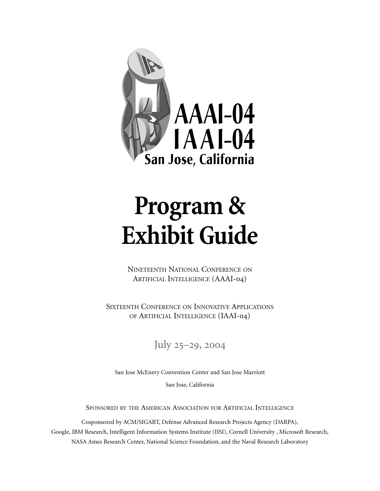

# **Program & Exhibit Guide**

NINETEENTH NATIONAL CONFERENCE ON ARTIFICIAL INTELLIGENCE (AAAI-04)

SIXTEENTH CONFERENCE ON INNOVATIVE APPLICATIONS OF ARTIFICIAL INTELLIGENCE (IAAI-04)

July  $25-29, 2004$ 

San Jose McEnery Convention Center and San Jose Marriott

San Jose, California

SPONSORED BY THE AMERICAN ASSOCIATION FOR ARTIFICIAL INTELLIGENCE

Cosponsored by ACM/SIGART, Defense Advanced Research Projects Agency (DARPA), Google, IBM Research, Intelligent Information Systems Institute (IISI), Cornell University , Microsoft Research, NASA Ames Research Center, National Science Foundation, and the Naval Research Laboratory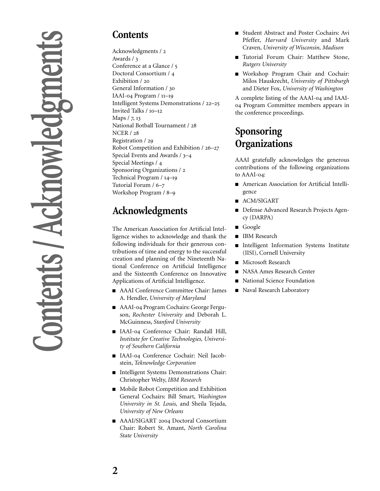# **Contents**

Acknowledgments / Awards / Conference at a Glance / Doctoral Consortium / Exhibition / 20 General Information / IAAI-04 Program  $/ 11-19$ Intelligent Systems Demonstrations / 22–25 Invited Talks  $/10-12$ Maps  $/$  7, 13 National Botball Tournament / **NCER / 28** Registration / Robot Competition and Exhibition / 26-27 Special Events and Awards  $/3-4$ Special Meetings / Sponsoring Organizations / Technical Program / 14-19 Tutorial Forum / 6-7 Workshop Program / 8-9

# **Acknowledgments**

The American Association for Artificial Intelligence wishes to acknowledge and thank the following individuals for their generous contributions of time and energy to the successful creation and planning of the Nineteenth National Conference on Artificial Intelligence and the Sixteenth Conference on Innovative Applications of Artificial Intelligence.

- AAAI Conference Committee Chair: James A. Hendler, *University of Maryland*
- AAAI-04 Program Cochairs: George Ferguson, *Rochester University* and Deborah L. McGuinness, *Stanford University*
- IAAI-04 Conference Chair: Randall Hill, *Institute for Creative Technologies, University of Southern California*
- IAAI-04 Conference Cochair: Neil Jacobstein, *Teknowledge Corporation*
- Intelligent Systems Demonstrations Chair: Christopher Welty, *IBM Research*
- Mobile Robot Competition and Exhibition General Cochairs: Bill Smart, *Washington University in St. Louis,* and Sheila Tejada, *University of New Orleans*
- AAAI/SIGART 2004 Doctoral Consortium Chair: Robert St. Amant, *North Carolina State University*
- Student Abstract and Poster Cochairs: Avi Pfeffer, *Harvard University* and Mark Craven, *University of Wisconsin, Madison*
- Tutorial Forum Chair: Matthew Stone, *Rutgers University*
- Workshop Program Chair and Cochair: Milos Hauskrecht, *University of Pittsburgh* and Dieter Fox, *University of Washington*

A complete listing of the AAAI-04 and IAAI-04 Program Committee members appears in the conference proceedings.

# **Sponsoring Organizations**

AAAI gratefully acknowledges the generous contributions of the following organizations to AAAI-04:

- American Association for Artificial Intelligence
- ACM/SIGART
- Defense Advanced Research Projects Agency (DARPA)
- Google
- IBM Research
- Intelligent Information Systems Institute (IISI), Cornell University
- Microsoft Research
- NASA Ames Research Center
- National Science Foundation
- Naval Research Laboratory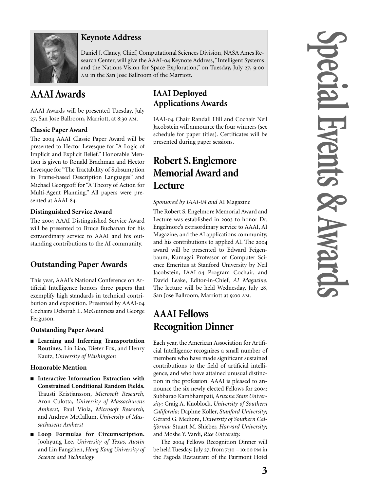

# **Keynote Address**

Daniel J. Clancy, Chief, Computational Sciences Division, NASA Ames Research Center, will give the AAAI-04 Keynote Address, "Intelligent Systems and the Nations Vision for Space Exploration," on Tuesday, July 27, 9:00 AM in the San Jose Ballroom of the Marriott.

# **AAAI Awards**

AAAI Awards will be presented Tuesday, July 27, San Jose Ballroom, Marriott, at 8:30 AM.

### **Classic Paper Award**

The 2004 AAAI Classic Paper Award will be presented to Hector Levesque for "A Logic of Implicit and Explicit Belief." Honorable Mention is given to Ronald Brachman and Hector Levesque for "The Tractability of Subsumption in Frame-based Description Languages" and Michael Georgeoff for "A Theory of Action for Multi-Agent Planning." All papers were presented at AAAI-84.

### **Distinguished Service Award**

The 2004 AAAI Distinguished Service Award will be presented to Bruce Buchanan for his extraordinary service to AAAI and his outstanding contributions to the AI community.

# **Outstanding Paper Awards**

This year, AAAI's National Conference on Artificial Intelligence honors three papers that exemplify high standards in technical contribution and exposition. Presented by AAAI- Cochairs Deborah L. McGuinness and George Ferguson.

### **Outstanding Paper Award**

■ **Learning and Inferring Transportation Routines.** Lin Liao, Dieter Fox, and Henry Kautz, *University of Washington*

### **Honorable Mention**

- **Interactive Information Extraction with Constrained Conditional Random Fields.** Trausti Kristjansson, *Microsoft Research,* Aron Culotta, *University of Massachusetts Amherst,* Paul Viola, *Microsoft Research,* and Andrew McCallum, *University of Massachusetts Amherst*
- **Loop Formulas for Circumscription.** Joohyung Lee, *University of Texas, Austin* and Lin Fangzhen, *Hong Kong University of Science and Technology*

# **IAAI Deployed Applications Awards**

IAAI-04 Chair Randall Hill and Cochair Neil Jacobstein will announce the four winners (see schedule for paper titles). Certificates will be presented during paper sessions.

# **Robert S. Englemore Memorial Award and Lecture**

### *Sponsored by IAAI-04 and* AI Magazine

The Robert S. Engelmore Memorial Award and Lecture was established in 2003 to honor Dr. Engelmore's extraordinary service to AAAI, AI Magazine, and the AI applications community, and his contributions to applied AI. The award will be presented to Edward Feigenbaum, Kumagai Professor of Computer Science Emeritus at Stanford University by Neil Jacobstein, IAAI-04 Program Cochair, and David Leake, Editor-in-Chief, *AI Magazine.* The lecture will be held Wednesday, July 28, San Jose Ballroom, Marriott at 9:00 AM.

# **AAAI Fellows Recognition Dinner**

Each year, the American Association for Artificial Intelligence recognizes a small number of members who have made significant sustained contributions to the field of artificial intelligence, and who have attained unusual distinction in the profession. AAAI is pleased to announce the six newly elected Fellows for 2004: Subbarao Kambhampati, A*rizona State University;* Craig A. Knoblock, *University of Southern California;* Daphne Koller, *Stanford University;* Gérard G. Medioni, *University of Southern California;* Stuart M. Shieber, *Harvard University;* and Moshe Y. Vardi, *Rice University.*

The 2004 Fellows Recognition Dinner will be held Tuesday, July 27, from  $7:30 - 10:00$  PM in the Pagoda Restaurant of the Fairmont Hotel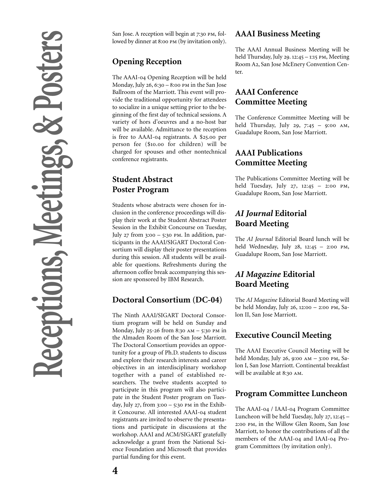San Jose. A reception will begin at 7:30 PM, followed by dinner at 8:00 PM (by invitation only).

# **Opening Reception**

The AAAI-04 Opening Reception will be held Monday, July  $26$ ,  $6:30 - 8:00$  PM in the San Jose Ballroom of the Marriott. This event will provide the traditional opportunity for attendees to socialize in a unique setting prior to the beginning of the first day of technical sessions. A variety of hors d'oeuvres and a no-host bar will be available. Admittance to the reception is free to  $AAAI-<sub>04</sub>$  registrants. A \$25.00 per person fee (\$10.00 for children) will be charged for spouses and other nontechnical conference registrants.

# **Student Abstract Poster Program**

Students whose abstracts were chosen for inclusion in the conference proceedings will display their work at the Student Abstract Poster Session in the Exhibit Concourse on Tuesday, July  $27$  from  $3:00 - 5:30$  PM. In addition, participants in the AAAI/SIGART Doctoral Consortium will display their poster presentations during this session. All students will be available for questions. Refreshments during the afternoon coffee break accompanying this session are sponsored by IBM Research.

# **Doctoral Consortium (DC-04)**

The Ninth AAAI/SIGART Doctoral Consortium program will be held on Sunday and Monday, July 25-26 from 8:30 AM  $-$  5:30 PM in the Almaden Room of the San Jose Marriott. The Doctoral Consortium provides an opportunity for a group of Ph.D. students to discuss and explore their research interests and career objectives in an interdisciplinary workshop together with a panel of established researchers. The twelve students accepted to participate in this program will also participate in the Student Poster program on Tuesday, July 27, from  $3:00 - 5:30$  PM in the Exhibit Concourse. All interested AAAI-04 student registrants are invited to observe the presentations and participate in discussions at the workshop. AAAI and ACM/SIGART gratefully acknowledge a grant from the National Science Foundation and Microsoft that provides partial funding for this event.

# **AAAI Business Meeting**

The AAAI Annual Business Meeting will be held Thursday, July 29.  $12:45 - 1:15$  PM, Meeting Room A2, San Jose McEnery Convention Center.

# **AAAI Conference Committee Meeting**

The Conference Committee Meeting will be held Thursday, July 29, 7:45 - 9:00 AM, Guadalupe Room, San Jose Marriott.

# **AAAI Publications Committee Meeting**

The Publications Committee Meeting will be held Tuesday, July 27, 12:45 - 2:00 PM, Guadalupe Room, San Jose Marriott.

# *AI Journal* **Editorial Board Meeting**

The *AI Journal* Editorial Board lunch will be held Wednesday, July  $28$ ,  $12:45 - 2:00 \text{ PM}$ , Guadalupe Room, San Jose Marriott.

# *AI Magazine* **Editorial Board Meeting**

The *AI Magazine* Editorial Board Meeting will be held Monday, July 26, 12:00 - 2:00 PM, Salon II, San Jose Marriott.

# **Executive Council Meeting**

The AAAI Executive Council Meeting will be held Monday, July 26, 9:00  $AM - 3$ :00 PM, Salon I, San Jose Marriott. Continental breakfast will be available at 8:30 AM.

# **Program Committee Luncheon**

The AAAI-04 / IAAI-04 Program Committee Luncheon will be held Tuesday, July 27, 12:45 -2:00 PM, in the Willow Glen Room, San Jose Marriott, to honor the contributions of all the members of the AAAI-04 and IAAI-04 Program Committees (by invitation only).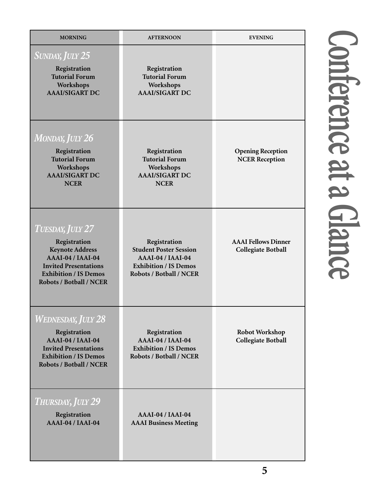| <b>MORNING</b>                                                                                                                                                                    | <b>AFTERNOON</b>                                                                                                              | <b>EVENING</b>                                          |
|-----------------------------------------------------------------------------------------------------------------------------------------------------------------------------------|-------------------------------------------------------------------------------------------------------------------------------|---------------------------------------------------------|
| <b>SUNDAY, JULY 25</b><br>Registration<br><b>Tutorial Forum</b><br>Workshops<br><b>AAAI/SIGART DC</b>                                                                             | Registration<br><b>Tutorial Forum</b><br>Workshops<br><b>AAAI/SIGART DC</b>                                                   |                                                         |
| <b>MONDAY, JULY 26</b><br>Registration<br><b>Tutorial Forum</b><br>Workshops<br><b>AAAI/SIGART DC</b><br><b>NCER</b>                                                              | Registration<br><b>Tutorial Forum</b><br>Workshops<br><b>AAAI/SIGART DC</b><br><b>NCER</b>                                    | <b>Opening Reception</b><br><b>NCER Reception</b>       |
| <b>TUESDAY, JULY 27</b><br>Registration<br><b>Keynote Address</b><br>AAAI-04 / IAAI-04<br><b>Invited Presentations</b><br><b>Exhibition / IS Demos</b><br>Robots / Botball / NCER | Registration<br><b>Student Poster Session</b><br>AAAI-04 / IAAI-04<br><b>Exhibition / IS Demos</b><br>Robots / Botball / NCER | <b>AAAI</b> Fellows Dinner<br><b>Collegiate Botball</b> |
| <b>WEDNESDAY, JULY 28</b><br>Registration<br>AAAI-04 / IAAI-04<br><b>Invited Presentations</b><br><b>Exhibition / IS Demos</b><br>Robots / Botball / NCER                         | Registration<br>AAAI-04 / IAAI-04<br><b>Exhibition / IS Demos</b><br>Robots / Botball / NCER                                  | <b>Robot Workshop</b><br><b>Collegiate Botball</b>      |
| THURSDAY, JULY 29<br>Registration<br>AAAI-04 / IAAI-04                                                                                                                            | AAAI-04 / IAAI-04<br><b>AAAI</b> Business Meeting                                                                             |                                                         |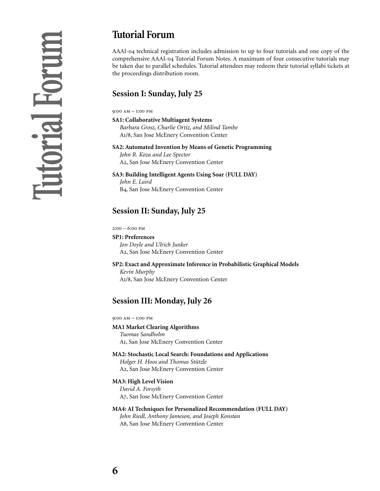# **Tutorial Forum**

AAAI-04 technical registration includes admission to up to four tutorials and one copy of the comprehensive AAAI-04 Tutorial Forum Notes. A maximum of four consecutive tutorials may be taken due to parallel schedules. Tutorial attendees may redeem their tutorial syllabi tickets at the proceedings distribution room.

# **Session I: Sunday, July 25**

 $9:00$  AM  $-1:00$  PM

**SA1: Collaborative Multiagent Systems** *Barbara Grosz, Charlie Ortiz, and Milind Tambe* A1/8, San Jose McEnery Convention Center

### **SA2: Automated Invention by Means of Genetic Programming**

*John R. Koza and Lee Spector* A2, San Jose McEnery Convention Center

**SA3: Building Intelligent Agents Using Soar (FULL DAY)**

*John E. Laird* B4, San Jose McEnery Convention Center

# **Session II: Sunday, July 25**

 $2:00 - 6:00$  PM

**SP1: Preferences** *Jon Doyle and Ulrich Junker* A2, San Jose McEnery Convention Center

# **SP2: Exact and Approximate Inference in Probabilistic Graphical Models** *Kevin Murphy*

A1/8, San Jose McEnery Convention Center

# **Session III: Monday, July 26**

 $9:00$  AM  $- 1:00$  PM

**MA1 Market Clearing Algorithms** *Tuomas Sandholm* A, San Jose McEnery Convention Center

**MA2: Stochastic Local Search: Foundations and Applications** *Holger H. Hoos and Thomas Stützle* A2, San Jose McEnery Convention Center

### **MA3: High Level Vision**

*David A. Forsyth* A7, San Jose McEnery Convention Center

# **MA4: AI Techniques for Personalized Recommendation (FULL DAY)** *John Riedl, Anthony Jameson, and Joseph Konstan*

A8, San Jose McEnery Convention Center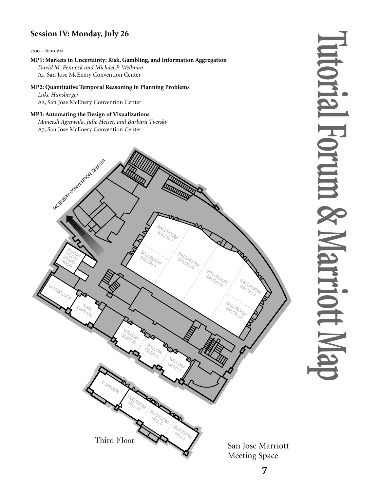# **Session IV: Monday, July 26**

### $2:00 - 6:00$  PM

### **MP1: Markets in Uncertainty: Risk, Gambling, and Information Aggregation** *Da vid M. Pennock and Michael P. Wellman* A , San Jose McEnery Convention Center

### **MP2: Quantitative Temporal Reasoning in Planning Problems** *Luke Hunsberger*

# A , San Jose McEnery Convention Center

### **MP3: Automating the Design of Visualizations**

*Maneesh Agrawala, Julie Heiser, and Barbara Tversky* A7, San Jose McEnery Convention Center



# **Tutorial Forum & Marriott Map** utorial Forum & Marriott

San Jose Marriott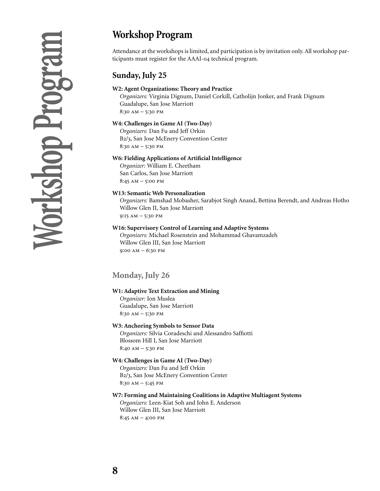# **Workshop Program**

Attendance at the workshops is limited, and participation is by invitation only. All workshop participants must register for the AAAI-04 technical program.

# **Sunday, July 25**

### **W2: Agent Organizations: Theory and Practice**

*Organizers:* Virginia Dignum, Daniel Corkill, Catholijn Jonker, and Frank Dignum Guadalupe, San Jose Marriott  $8:30$  AM  $-$  5:30 PM

### **W4: Challenges in Game AI (Two-Day)**

*Organizers:* Dan Fu and Jeff Orkin B2/3, San Jose McEnery Convention Center  $8:30 AM - 5:30 PM$ 

### **W6: Fielding Applications of Artificial Intelligence**

*Organizer:* William E. Cheetham San Carlos, San Jose Marriott  $8:45 \text{ AM} - 5:00 \text{ PM}$ 

### **W13: Semantic Web Personalization**

*Organizers:* Bamshad Mobasher, Sarabjot Singh Anand, Bettina Berendt, and Andreas Hotho Willow Glen II, San Jose Marriott  $9:15 AM - 5:30 PM$ 

### **W16: Supervisory Control of Learning and Adaptive Systems**

*Organizers:* Michael Rosenstein and Mohammad Ghavamzadeh Willow Glen III, San Jose Marriott  $9:00 AM - 6:30 PM$ 

# **Monday, July 26**

### **W1: Adaptive Text Extraction and Mining**

*Organizer:* Ion Muslea Guadalupe, San Jose Marriott  $8:30$  AM - 5:30 PM

### **W3: Anchoring Symbols to Sensor Data**

*Organizers:* Silvia Coradeschi and Alessandro Saffiotti Blossom Hill I, San Jose Marriott  $8:40 AM - 5:30 PM$ 

### **W4: Challenges in Game AI (Two-Day)**

*Organizers:* Dan Fu and Jeff Orkin B2/3, San Jose McEnery Convention Center  $8:30 AM - 5:45 PM$ 

### **W7: Forming and Maintaining Coalitions in Adaptive Multiagent Systems**

*Organizers:* Leen-Kiat Soh and John E. Anderson Willow Glen III, San Jose Marriott  $8:45 AM - 4:00 PM$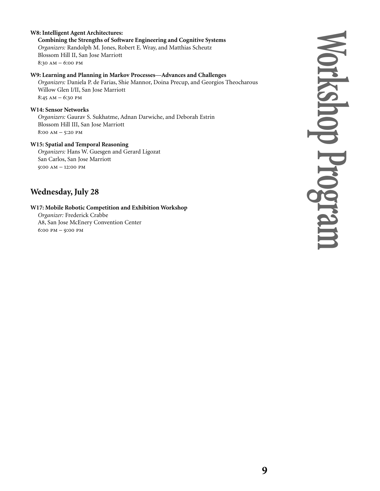### **W8: Intelligent Agent Architectures:**

**Combining the Strengths of Software Engineering and Cognitive Systems** *Organizers:* Randolph M. Jones, Robert E. Wray, and Matthias Scheutz Blossom Hill II, San Jose Marriott  $8:30$  AM  $- 6:00$  PM

### **W9: Learning and Planning in Markov Processes**—**Advances and Challenges**

*Organizers:* Daniela P. de Farias, Shie Mannor, Doina Precup, and Georgios Theocharous Willow Glen I/II, San Jose Marriott  $8:45 AM - 6:30 PM$ 

### **W14: Sensor Networks**

*Organizers:* Gaurav S. Sukhatme, Adnan Darwiche, and Deborah Estrin Blossom Hill III, San Jose Marriott  $8:00 AM - 5:20 PM$ 

### **W15: Spatial and Temporal Reasoning**

*Organizers:* Hans W. Guesgen and Gerard Ligozat San Carlos, San Jose Marriott  $9:00$  AM  $-$  12:00 PM

# **Wednesday, July 28**

### **W17: Mobile Robotic Competition and Exhibition Workshop**

*Organizer:* Frederick Crabbe A8, San Jose McEnery Convention Center  $6:00$  PM  $-$  9:00 PM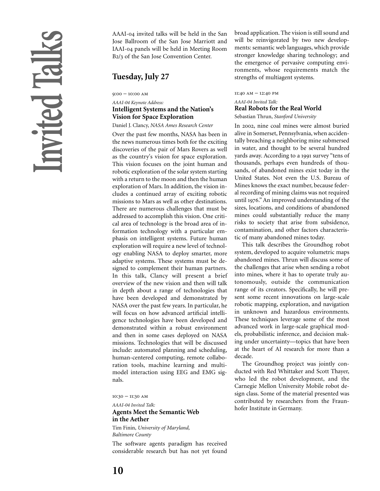AAAI-04 invited talks will be held in the San Jose Ballroom of the San Jose Marriott and IAAI-04 panels will be held in Meeting Room B2/3 of the San Jose Convention Center.

# **Tuesday, July 27**

 $9:00 - 10:00$  AM

### *AAAI-04 Keynote Address:*  **Intelligent Systems and the Nation's Vision for Space Exploration**

Daniel J. Clancy, *NASA Ames Research Center*

Over the past few months, NASA has been in the news numerous times both for the exciting discoveries of the pair of Mars Rovers as well as the country's vision for space exploration. This vision focuses on the joint human and robotic exploration of the solar system starting with a return to the moon and then the human exploration of Mars. In addition, the vision includes a continued array of exciting robotic missions to Mars as well as other destinations. There are numerous challenges that must be addressed to accomplish this vision. One critical area of technology is the broad area of information technology with a particular emphasis on intelligent systems. Future human exploration will require a new level of technology enabling NASA to deploy smarter, more adaptive systems. These systems must be designed to complement their human partners. In this talk, Clancy will present a brief overview of the new vision and then will talk in depth about a range of technologies that have been developed and demonstrated by NASA over the past few years. In particular, he will focus on how advanced artificial intelligence technologies have been developed and demonstrated within a robust environment and then in some cases deployed on NASA missions. Technologies that will be discussed include: automated planning and scheduling, human-centered computing, remote collaboration tools, machine learning and multimodel interaction using EEG and EMG signals.

 $10:30 - 11:30$  AM

*AAAI-04 Invited Talk:* **Agents Meet the Semantic Web in the Aether** Tim Finin, *University of Maryland,*

*Baltimore County*

The software agents paradigm has received considerable research but has not yet found

broad application. The vision is still sound and will be reinvigorated by two new developments: semantic web languages, which provide stronger knowledge sharing technology; and the emergence of pervasive computing environments, whose requirements match the strengths of multiagent systems.

### $11:40$  AM -  $12:40$  PM *AAAI-04 Invited Talk:*  **Real Robots for the Real World**

Sebastian Thrun, *Stanford University*

In 2002, nine coal mines were almost buried alive in Somerset, Pennsylvania, when accidentally breaching a neighboring mine submersed in water, and thought to be several hundred yards away. According to a 1991 survey "tens of thousands, perhaps even hundreds of thousands, of abandoned mines exist today in the United States. Not even the U.S. Bureau of Mines knows the exact number, because federal recording of mining claims was not required until 1976." An improved understanding of the sizes, locations, and conditions of abandoned mines could substantially reduce the many risks to society that arise from subsidence, contamination, and other factors characteristic of many abandoned mines today.

This talk describes the Groundhog robot system, developed to acquire volumetric maps abandoned mines. Thrun will discuss some of the challenges that arise when sending a robot into mines, where it has to operate truly autonomously, outside the communication range of its creators. Specifically, he will present some recent innovations on large-scale robotic mapping, exploration, and navigation in unknown and hazardous environments. These techniques leverage some of the most advanced work in large-scale graphical models, probabilistic inference, and decision making under uncertainty—topics that have been at the heart of AI research for more than a decade.

The Groundhog project was jointly conducted with Red Whittaker and Scott Thayer, who led the robot development, and the Carnegie Mellon University Mobile robot design class. Some of the material presented was contributed by researchers from the Fraunhofer Institute in Germany.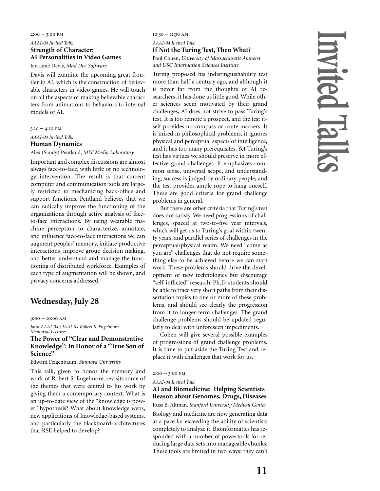### $2:00 - 3:00$  PM

### *AAAI-04 Invited Talk:* **Strength of Character: AI Personalities in Video Game**s

Ian Lane Davis, *Mad Doc Software*

Davis will examine the upcoming great frontier in AI, which is the construction of believable characters in video games. He will touch on all the aspects of making believable characters from animations to behaviors to internal models of AI.

 $3:10 - 4:10$  PM

*AAAI-04 Invited Talk:*

### **Human Dynamics**

Alex (Sandy) Pentland, *MIT Media Laboratory*

Important and complex discussions are almost always face-to-face, with little or no technology intervention. The result is that current computer and communication tools are largely restricted to mechanizing back-office and support functions. Pentland believes that we can radically improve the functioning of the organizations through active analysis of faceto-face interactions. By using wearable machine perception to characterize, annotate, and influence face-to-face interactions we can augment peoples' memory, initiate productive interactions, improve group decision making, and better understand and manage the functioning of distributed workforce. Examples of each type of augmentation will be shown, and privacy concerns addressed.

### **Wednesday, July 28**

### $9:00 - 10:00$  AM

*Joint AAAI-04 / IAAI-04 Robert S. Engelmore Memorial Lecture:*

### **The Power of "Clear and Demonstrative Knowledge": In Honor of a "True Son of Science"**

Edward Feigenbaum, *Stanford University*

This talk, given to honor the memory and work of Robert S. Engelmore, revisits some of the themes that were central to his work by giving them a contemporary context. What is an up-to-date view of the "knowledge is power" hypothesis? What about knowledge webs, new applications of knowledge-based systems, and particularly the blackboard-architectures that RSE helped to develop?

 $10:30 - 11:30$  AM

*AAAI-04 Invited Talk:* **If Not the Turing Test, Then What?**

Paul Cohen, *University of Massachusetts Amherst and USC Information Sciences Institute*

Turing proposed his indistinguishability test more than half a century ago, and although it is never far from the thoughts of AI researchers, it has done us little good. While other sciences seem motivated by their grand challenges, AI does not strive to pass Turing's test. It is too remote a prospect, and the test itself provides no compass or route markers. It is mired in philosophical problems, it ignores physical and perceptual aspects of intelligence, and it has too many prerequisites. Yet Turing's test has virtues we should preserve in more effective grand challenges: it emphasizes common sense, universal scope, and understanding; success is judged by ordinary people; and the test provides ample rope to hang oneself. These are good criteria for grand challenge problems in general.

But there are other criteria that Turing's test does not satisfy. We need progressions of challenges, spaced at two-to-five year intervals, which will get us to Turing's goal within twenty years, and parallel series of challenges in the perceptual/physical realm. We need "come as you are" challenges that do not require something else to be achieved before we can start work. These problems should drive the development of new technologies but discourage "self-inflicted" research. Ph.D. students should be able to trace very short paths from their dissertation topics to one or more of these problems, and should see clearly the progression from it to longer-term challenges. The grand challenge problems should be updated regularly to deal with unforeseen impediments.

Cohen will give several possible examples of progressions of grand challenge problems. It is time to put aside the Turing Test and replace it with challenges that work for us.

### $2:00 - 3:00$  PM

*AAAI-04 Invited Talk:*

### **AI and Biomedicine: Helping Scientists Reason about Genomes, Drugs, Diseases**

Russ B. Altman, *Stanford University Medical Center*

Biology and medicine are now generating data at a pace far exceeding the ability of scientists completely to analyze it. Bioinformatics has responded with a number of powertools for reducing large data sets into manageable chunks. These tools are limited in two ways: they can't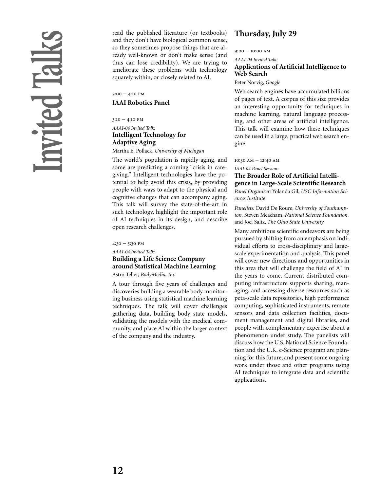read the published literature (or textbooks) and they don't have biological common sense, so they sometimes propose things that are already well-known or don't make sense (and thus can lose credibility). We are trying to ameliorate these problems with technology squarely within, or closely related to AI.

 $2:00 - 4:10$  PM

### **IAAI Robotics Panel**

 $3:10 - 4:10$  PM

### *AAAI-04 Invited Talk:* **Intelligent Technology for Adaptive Aging**

Martha E. Pollack, *University of Michigan*

The world's population is rapidly aging, and some are predicting a coming "crisis in caregiving." Intelligent technologies have the potential to help avoid this crisis, by providing people with ways to adapt to the physical and cognitive changes that can accompany aging. This talk will survey the state-of-the-art in such technology, highlight the important role of AI techniques in its design, and describe open research challenges.

 $4:30 - 5:30$  PM

*AAAI-04 Invited Talk:*

### **Building a Life Science Company around Statistical Machine Learning**

Astro Teller, *BodyMedia, Inc.*

A tour through five years of challenges and discoveries building a wearable body monitoring business using statistical machine learning techniques. The talk will cover challenges gathering data, building body state models, validating the models with the medical community, and place AI within the larger context of the company and the industry.

# **Thursday, July 29**

 $9:00 - 10:00$  AM

*AAAI-04 Invited Talk:*

### **Applications of Artificial Intelligence to Web Search**

Peter Norvig, *Google*

Web search engines have accumulated billions of pages of text. A corpus of this size provides an interesting opportunity for techniques in machine learning, natural language processing, and other areas of artificial intelligence. This talk will examine how these techniques can be used in a large, practical web search engine.

 $10:30$  AM -  $12:40$  AM

*IAAI-04 Panel Session:* **The Broader Role of Artificial Intelligence in Large-Scale Scientific Research**

*Panel Organizer:* Yolanda Gil, *USC Information Sciences Institute*

*Panelists:* David De Roure, *University of Southampton,* Steven Meacham, *National Science Foundation,* and Joel Saltz, *The Ohio State University*

Many ambitious scientific endeavors are being pursued by shifting from an emphasis on individual efforts to cross-disciplinary and largescale experimentation and analysis. This panel will cover new directions and opportunities in this area that will challenge the field of AI in the years to come. Current distributed computing infrastructure supports sharing, managing, and accessing diverse resources such as peta-scale data repositories, high performance computing, sophisticated instruments, remote sensors and data collection facilities, document management and digital libraries, and people with complementary expertise about a phenomenon under study. The panelists will discuss how the U.S. National Science Foundation and the U.K. e-Science program are planning for this future, and present some ongoing work under those and other programs using AI techniques to integrate data and scientific applications.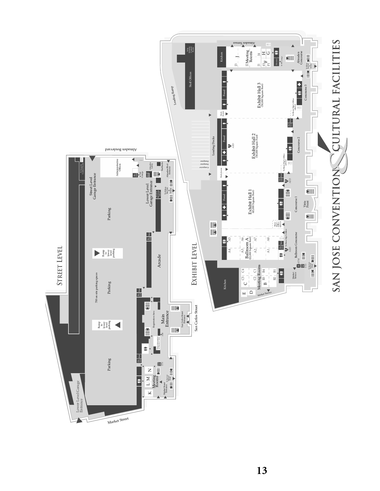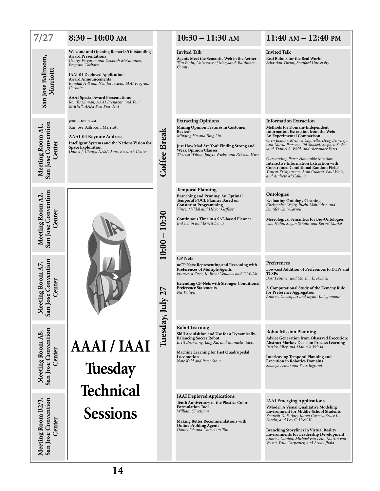| 7/27                                                                          | $8:30 - 10:00$ AM                                                                                                                                                                                                                                                                                                                                                                                   |                                            | $10:30 - 11:30$ AM                                                                                                                                                                                                                                          | $11:40 \text{ AM} - 12:40 \text{ PM}$                                                                                                                                                                                                                                                                                                                                                                                                                                                             |
|-------------------------------------------------------------------------------|-----------------------------------------------------------------------------------------------------------------------------------------------------------------------------------------------------------------------------------------------------------------------------------------------------------------------------------------------------------------------------------------------------|--------------------------------------------|-------------------------------------------------------------------------------------------------------------------------------------------------------------------------------------------------------------------------------------------------------------|---------------------------------------------------------------------------------------------------------------------------------------------------------------------------------------------------------------------------------------------------------------------------------------------------------------------------------------------------------------------------------------------------------------------------------------------------------------------------------------------------|
| San Jose Ballroom,<br>Marriottt                                               | <b>Welcome and Opening Remarks/Outstanding</b><br><b>Award Presentations</b><br>George Ferguson and Deborah McGuinness,<br>Program Cochairs<br><b>IAAI-04 Deployed Application</b><br><b>Award Announcements</b><br>Randall Hill and Neil Jacobstein, IAAI Program<br>Cochairs<br><b>AAAI</b> Special Award Presentations<br>Ron Brachman, AAAI President, and Tom<br>Mitchell, AAAI Past President |                                            | <b>Invited Talk</b><br>Agents Meet the Semantic Web in the Aether<br>Tim Finin, University of Maryland, Baltimore<br>County                                                                                                                                 | <b>Invited Talk</b><br>Real Robots for the Real World<br>Sebastian Thrun, Stanford University                                                                                                                                                                                                                                                                                                                                                                                                     |
| San Jose Convention<br>Meeting Room A1,<br>Center                             | $9:00 - 10:00$ AM<br>San Jose Ballroom, Marriott<br><b>AAAI-04 Keynote Address</b><br>Intelligent Systems and the Nations Vision for<br><b>Space Exploration</b><br>Daniel J. Clancy, NASA Ames Research Center                                                                                                                                                                                     | Coffee Break                               | <b>Extracting Opinions</b><br>Mining Opinion Features in Customer<br><b>Reviews</b><br>Minging Hu and Bing Liu<br>Just How Mad Are You? Finding Strong and<br><b>Weak Opinion Clauses</b><br>Theresa Wilson, Janyce Wiebe, and Rebecca Hwa                  | <b>Information Extraction</b><br>Methods for Domain-Independent<br>Information Extraction from the Web:<br>An Experimental Comparison<br>Oren Etzioni, Michael Cafarella, Doug Downey,<br>Ana-Maria Popescu, Tal Shaked, Stephen Soder-<br>land, Daniel S. Weld, and Alexander Yates<br>Outstanding Paper Honorable Mention:<br>Interactive Information Extraction with<br><b>Constrained Conditional Random Fields</b><br>Trausti Kristjansson, Aron Culotta, Paul Viola,<br>and Andrew McCallum |
| Meeting Room A2,<br>San Jose Convention<br>Center                             |                                                                                                                                                                                                                                                                                                                                                                                                     | 10:30<br>10:00                             | <b>Temporal Planning</b><br><b>Branching and Pruning: An Optimal</b><br>Temporal POCL Planner Based on<br><b>Constraint Programming</b><br>Vincent Vidal and Héctor Geffner<br>Continuous Time in a SAT-based Planner<br>Ji-Ae Shin and Ernest Davis        | Ontologies<br><b>Evaluating Ontology Cleaning</b><br>Christopher Welty, Ruchi Mahindru, and<br>Jennifer Chu-Carroll<br><b>Mereological Semantics for Bio-Ontologies</b><br>Udo Hahn, Stefan Schulz, and Kornél Markó                                                                                                                                                                                                                                                                              |
| eeting Room A7,<br>1 Jose Convention<br>Center<br>$\overline{\mathbf{S}}$ and |                                                                                                                                                                                                                                                                                                                                                                                                     | ↖<br>$\mathbf{\dot{c}}$<br>$\mathbf{\Psi}$ | <b>CP</b> Nets<br>mCP Nets: Representing and Reasoning with<br><b>Preferences of Multiple Agents</b><br>Francesca Rossi, K. Brent Venable, and T. Walsh<br><b>Extending CP-Nets with Stronger Conditional</b><br><b>Preference Statements</b><br>Nic Wilson | Preferences<br>Low-cost Addition of Preferences to DTPs and<br><b>TCSPs</b><br>Bart Peintner and Martha E. Pollack<br>A Computational Study of the Kemeny Rule<br>for Preference Aggregation<br>Andrew Davenport and Jayant Kalagnanam                                                                                                                                                                                                                                                            |
| <b>Meeting Room A8,<br/>San Jose Convention</b><br>Center                     | AAAI / IAAI<br>Tuesday<br><b>Technical</b>                                                                                                                                                                                                                                                                                                                                                          | Tuesday, Ju                                | <b>Robot Learning</b><br>Skill Acquisition and Use for a Dynamically-<br><b>Balancing Soccer Robot</b><br>Brett Browning, Ling Xu, and Manuela Veloso<br>Machine Learning for Fast Quadrupedal<br>Locomotion<br>Nate Kohl and Peter Stone                   | <b>Robot Mission Planning</b><br>Advice Generation from Observed Execution:<br><b>Abstract Markov Decision Process Learning</b><br>Patrick Riley and Manuela Veloso<br><b>Interleaving Temporal Planning and</b><br><b>Execution in Robotics Domains</b><br>Solange Lemai and Félix Ingrand                                                                                                                                                                                                       |
| Meeting Room B2/3,<br>San Jose Convention<br>Center                           | <b>Sessions</b>                                                                                                                                                                                                                                                                                                                                                                                     |                                            | <b>IAAI</b> Deployed Applications<br>Tenth Anniversary of the Plastics Color<br><b>Formulation Tool</b><br>William Cheetham<br><b>Making Better Recommendations with</b><br><b>Online Profiling Agents</b><br>Danny Oh and Chew Lim Tan                     | <b>IAAI</b> Emerging Applications<br><b>VModel: A Visual Qualitative Modeling</b><br><b>Environment for Middle-School Students</b><br>Kenneth D. Forbus, Karen Carney, Bruce L.<br>Sherin, and Leo C. Ureel II<br><b>Branching Storylines in Virtual Reality</b><br><b>Environments for Leadership Development</b><br>Andrew Gordon, Michael van Lent, Martin van<br>Velsen, Paul Carpenter, and Arnav Jhala                                                                                      |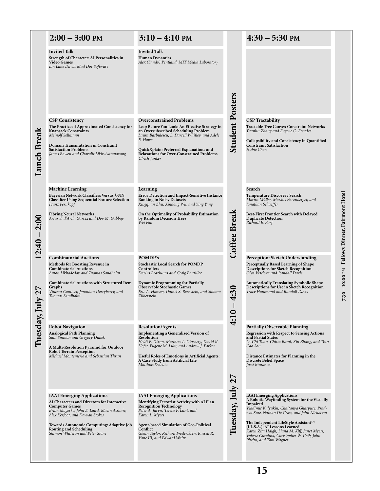|                         | $2:00 - 3:00$ PM                                                                                                                                                                                                                                                                                              | $3:10 - 4:10$ PM                                                                                                                                                                                                                                                                                                                |                        | $4:30 - 5:30$ PM                                                                                                                                                                                                                                                                                                                                                                                  |                                |
|-------------------------|---------------------------------------------------------------------------------------------------------------------------------------------------------------------------------------------------------------------------------------------------------------------------------------------------------------|---------------------------------------------------------------------------------------------------------------------------------------------------------------------------------------------------------------------------------------------------------------------------------------------------------------------------------|------------------------|---------------------------------------------------------------------------------------------------------------------------------------------------------------------------------------------------------------------------------------------------------------------------------------------------------------------------------------------------------------------------------------------------|--------------------------------|
|                         | <b>Invited Talk</b><br>Strength of Character: AI Personalities in<br><b>Video Games</b><br>Ian Lane Davis, Mad Doc Software                                                                                                                                                                                   | <b>Invited Talk</b><br><b>Human Dynamics</b><br>Alex (Sandy) Pentland, MIT Media Laboratory                                                                                                                                                                                                                                     |                        |                                                                                                                                                                                                                                                                                                                                                                                                   |                                |
| <b>Lunch Break</b>      | <b>CSP Consistency</b><br>The Practice of Approximated Consistency for<br><b>Knapsack Constraints</b><br>Meinolf Sellmann<br><b>Domain Transmutation in Constraint</b><br><b>Satisfaction Problems</b><br>James Bowen and Chavalit Likitvivatanavong                                                          | <b>Overconstrained Problems</b><br>Leap Before You Look: An Effective Strategy in<br>an Oversubscribed Scheduling Problem<br>Laura Barbulescu, L. Darrell Whitley, and Adele<br>E. Howe<br>QuickXplain: Preferred Explanations and<br>Relaxations for Over-Constrained Problems<br>Ulrich Junker                                | <b>Student Posters</b> | <b>CSP</b> Tractability<br><b>Tractable Tree Convex Constraint Networks</b><br>Yuanlin Zhang and Eugene C. Freuder<br>Callapsibility and Consistency in Quantified<br><b>Constraint Satisfaction</b><br>Hubie Chen                                                                                                                                                                                |                                |
| <b>2:00</b><br>$2:40 -$ | <b>Machine Learning</b><br>Bayesian Network Classifiers Versus k-NN<br><b>Classifier Using Sequential Feature Selection</b><br>Franz Pernkopf<br><b>Fibring Neural Networks</b><br>Artur S. d'Avila Garcez and Dov M. Gabbay                                                                                  | Learning<br><b>Error Detection and Impact-Sensitive Instance</b><br><b>Ranking in Noisy Datasets</b><br>Xingquan Zhu, Xindong Wu, and Ying Yang<br>On the Optimality of Probability Estimation<br>by Random Decision Trees<br>Wei Fan                                                                                           | Coffee Break           | Search<br><b>Temperature Discovery Search</b><br>Martin Müller, Markus Enzenberger, and<br>Jonathan Schaeffer<br>Best-First Frontier Search with Delayed<br><b>Duplicate Detection</b><br>Richard E. Korf                                                                                                                                                                                         | Fellows Dinner, Fairmont Hotel |
|                         | <b>Combinatorial Auctions</b><br>Methods for Boosting Revenue in<br><b>Combinatorial Auctions</b><br>Anton Likhodedov and Tuomas Sandholm<br><b>Combinatorial Auctions with Structured Item</b><br>Graphs<br>Vincent Conitzer, Jonathan Derryberry, and<br>Tuomas Sandholm                                    | POMDP's<br><b>Stochastic Local Search for POMDP</b><br><b>Controllers</b><br>Darius Braziunas and Craig Boutilier<br><b>Dynamic Programming for Partially</b><br><b>Observable Stochastic Games</b><br>Eric A. Hansen, Daniel S. Bernstein, and Shlomo<br>Zilberstein                                                           | 4:30<br>$\bullet$      | Perception: Sketch Understanding<br>Perceptually Based Learning of Shape<br><b>Descriptions for Sketch Recognition</b><br>Olya Veselova and Randall Davis<br><b>Automatically Translating Symbolic Shape</b><br>Descriptions for Use in Sketch Recognition<br>Tracy Hammond and Randall Davis                                                                                                     | 7:30 - 10:00 РМ                |
| Tuesday, Ju             | <b>Robot Navigation</b><br><b>Analogical Path Planning</b><br>Saul Simhon and Gregory Dudek<br>A Multi-Resolution Pyramid for Outdoor<br><b>Robot Terrain Perception</b><br>Michael Montemerlo and Sebastian Thrun                                                                                            | <b>Resolution/Agents</b><br><b>Implementing a Generalized Version of</b><br><b>Resolution</b><br>Heidi E. Dixon, Matthew L. Ginsberg, David K.<br>Hofer, Eugene M. Luks, and Andrew J. Parkes<br><b>Useful Roles of Emotions in Artificial Agents:</b><br>A Case Study from Artificial Life<br>Matthias Scheutz                 | $\div$                 | <b>Partially Observable Planning</b><br><b>Regression with Respect to Sensing Actions</b><br>and Partial States<br>Le-Chi Tuan, Chitta Baral, Xin Zhang, and Tran<br>Cao Son<br>Distance Estimates for Planning in the<br><b>Discrete Belief Space</b><br>Jussi Rintanen                                                                                                                          |                                |
|                         | <b>IAAI</b> Emerging Applications<br>AI Characters and Directors for Interactive<br><b>Computer Games</b><br>Brian Magerko, John E. Laird, Mazin Assanie,<br>Alex Kerfoot, and Devvan Stokes<br>Towards Autonomic Computing: Adaptive Job<br><b>Routing and Scheduling</b><br>Shimon Whiteson and Peter Stone | <b>IAAI</b> Emerging Applications<br><b>Identifying Terrorist Activity with AI Plan</b><br><b>Recognition Technology</b><br>Peter A. Jarvis, Teresa F. Lunt, and<br>Karen L. Myers<br><b>Agent-based Simulation of Geo-Political</b><br>Conflict<br>Glenn Taylor, Richard Frederiksen, Russell R.<br>Vane III, and Edward Waltz | Tuesday, July 27       | <b>IAAI</b> Emerging Applications<br>A Robotic Wayfinding System for the Visually<br>Impaired<br>Vladimir Kulyukin, Chaitanya Gharpure, Prad-<br>nya Sute, Nathan De Graw, and John Nicholson<br>The Independent LifeStyle Assistant™<br>(I.L.S.A.): AI Lessons Learned<br>Karen Zita Haigh, Liana M. Kiff, Janet Myers,<br>Valerie Guralnik, Christopher W. Geib, John<br>Phelps, and Tom Wagner |                                |

**15**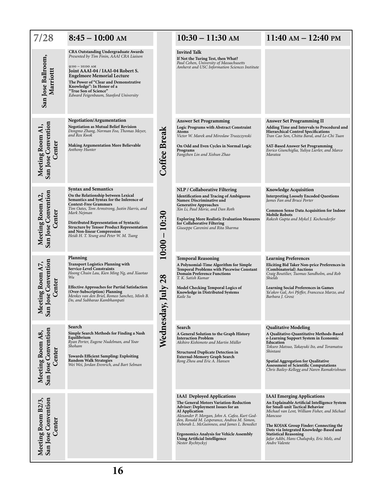| 7/28                                                       | $8:45-10:00$ AM                                                                                                                                                                                                                                                                                                                                                                         |                                 | $10:30 - 11:30$ AM                                                                                                                                                                                                                                                                                                                                                                                        | $11:40 \text{ AM} - 12:40 \text{ PM}$                                                                                                                                                                                                                                                                                                                                   |
|------------------------------------------------------------|-----------------------------------------------------------------------------------------------------------------------------------------------------------------------------------------------------------------------------------------------------------------------------------------------------------------------------------------------------------------------------------------|---------------------------------|-----------------------------------------------------------------------------------------------------------------------------------------------------------------------------------------------------------------------------------------------------------------------------------------------------------------------------------------------------------------------------------------------------------|-------------------------------------------------------------------------------------------------------------------------------------------------------------------------------------------------------------------------------------------------------------------------------------------------------------------------------------------------------------------------|
| San Jose Ballroom,<br>Marriottt                            | <b>CRA Outstanding Undergraduate Awards</b><br>Presented by Tim Finin, AAAI CRA Liaison<br>$9:00 - 10:00$ AM<br>Joint AAAI-04 / IAAI-04 Robert S.<br><b>Engelmore Memorial Lecture</b><br>The Power of "Clear and Demonstrative<br>Knowledge": In Honor of a<br>"True Son of Science"<br>Edward Feigenbaum, Stanford University                                                         |                                 | <b>Invited Talk</b><br>If Not the Turing Test, then What?<br>Paul Cohen, University of Massachusetts<br>Amherst and USC Information Sciences Institute                                                                                                                                                                                                                                                    |                                                                                                                                                                                                                                                                                                                                                                         |
| San Jose Convention<br>Meeting Room A1,<br>Center          | Negotiation/Argumentation<br><b>Negotiation as Mutual Belief Revision</b><br>Dongmo Zhang, Norman Foo, Thomas Meyer,<br>and Rex Kwok<br><b>Making Argumentation More Believable</b><br>Anthony Hunter                                                                                                                                                                                   | Coffee Break                    | <b>Answer Set Programming</b><br>Logic Programs with Abstract Constraint<br><b>Atoms</b><br>Victor W. Marek and Miroslaw Truszczynski<br>On Odd and Even Cycles in Normal Logic<br>Programs<br>Fangzhen Lin and Xishun Zhao                                                                                                                                                                               | <b>Answer Set Programming II</b><br>Adding Time and Intervals to Procedural and<br><b>Hierarchical Control Specifications</b><br>Tran Cao Son, Chitta Baral, and Le-Chi Tuan<br><b>SAT-Based Answer Set Programming</b><br>Enrico Giunchiglia, Yuliya Lierler, and Marco<br>Maratea                                                                                     |
| San Jose Convention<br>Meeting Room A2,<br>Center          | <b>Syntax and Semantics</b><br>On the Relationship between Lexical<br>Semantics and Syntax for the Inference of<br><b>Context-Free Grammars</b><br>Tim Oates, Tom Armstrong, Justin Harris, and<br>Mark Nejman<br>Distributed Representation of Syntactic<br><b>Structure by Tensor Product Representation</b><br>and Non-linear Compression<br>Heidi H. T. Yeung and Peter W. M. Tsang | 10:30<br>$\mathsf{I}$<br>10:00  | NLP / Collaborative Filtering<br><b>Identification and Tracing of Ambiguous</b><br>Names: Discriminative and<br><b>Generative Approaches</b><br>Xin Li, Paul Morie, and Dan Roth<br><b>Exploring More Realistic Evaluation Measures</b><br>for Collaborative Filtering<br>Giuseppe Carenini and Rita Sharma                                                                                               | <b>Knowledge Acquisition</b><br><b>Interpreting Loosely Encoded Questions</b><br>James Fan and Bruce Porter<br><b>Common Sense Data Acquisition for Indoor</b><br><b>Mobile Robots</b><br>Rakesh Gupta and Mykel J. Kochenderfer                                                                                                                                        |
| eeting Room A7,<br>1 Jose Convention<br>Center<br>Ž<br>San | Planning<br><b>Transport Logistics Planning with</b><br><b>Service-Level Constraints</b><br>Hoong Chuin Lau, Kien Ming Ng, and Xiaotao<br>Wu<br><b>Effective Approaches for Partial Satisfaction</b><br>(Over-Subscription) Planning<br>Menkes van den Briel, Romeo Šanchez, Minh B.<br>Do, and Subbarao Kambhampati                                                                    | July 28<br>$\tilde{\mathbf{y}}$ | <b>Temporal Reasoning</b><br>A Polynomial-Time Algorithm for Simple<br><b>Temporal Problems with Piecewise Constant</b><br><b>Domain Preference Functions</b><br>T. K. Satish Kumar<br>Model Checking Temporal Logics of<br>Knowledge in Distributed Systems<br>Kaile Su                                                                                                                                  | <b>Learning Preferences</b><br>Eliciting Bid Taker Non-price Preferences in<br>(Combinatorial) Auctions<br>Craig Boutilier, Tuomas Sandholm, and Rob<br>Shields<br><b>Learning Social Preferences in Games</b><br>Ya'akov Gal, Avi Pfeffer, Francesca Marzo, and<br>Barbara J. Grosz                                                                                    |
| San Jose Convention<br>Meeting Room A8,<br>Center          | Search<br>Simple Search Methods for Finding a Nash<br>Equilibrium<br>Ryan Porter, Eugene Nudelman, and Yoav<br>Shoham<br><b>Towards Efficient Sampling: Exploiting</b><br><b>Random Walk Strategies</b><br>Wei Wei, Jordan Erenrich, and Bart Selman                                                                                                                                    | Wednesday                       | Search<br>A General Solution to the Graph History<br><b>Interaction Problem</b><br>Akihiro Kishimoto and Martin Müller<br><b>Structured Duplicate Detection in</b><br><b>External-Memory Graph Search</b><br>Rong Zhou and Eric A. Hansen                                                                                                                                                                 | <b>Qualitative Modeling</b><br>A Qualitative-Quantitative Methods-Based<br>e-Learning Support System in Economic<br><b>Education</b><br>Tokuro Matsuo, Takayuki Ito, and Toramatsu<br>Shintani<br><b>Spatial Aggregation for Qualitative</b><br><b>Assessment of Scientific Computations</b><br>Chris Bailey-Kellogg and Naren Ramakrishnan                             |
| San José Convention<br>Meeting Room B2/3,<br>Center        |                                                                                                                                                                                                                                                                                                                                                                                         |                                 | <b>IAAI</b> Deployed Applications<br>The General Motors Variation-Reduction<br><b>Adviser: Deployment Issues for an</b><br><b>AI</b> Application<br>Alexander P. Morgan, John A. Cafeo, Kurt God-<br>den, Ronald M. Lesperance, Andrea M. Simon,<br>Deborah L. McGuinness, and James L. Benedict<br><b>Ergonomics Analysis for Vehicle Assembly</b><br>Using Artificial Intelligence<br>Nestor Rychtyckyj | <b>IAAI</b> Emerging Applications<br>An Explainable Artificial Intelligence System<br>for Small-unit Tactical Behavior<br>Michael van Lent, William Fisher, and Michael<br>Mancuso<br>The KOJAK Group Finder: Connecting the<br>Dots via Integrated Knowledge-Based and<br><b>Statistical Reasoning</b><br>Jafar Adibi, Hans Chalupsky, Eric Melz, and<br>Andre Valente |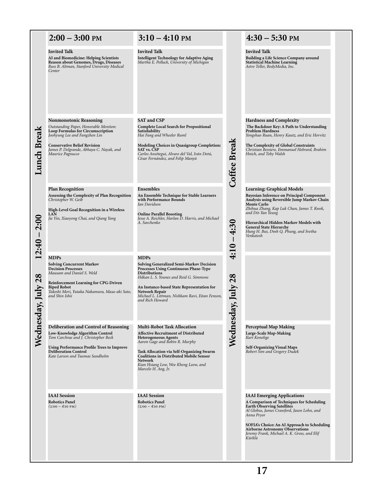|                          | $2:00 - 3:00$ PM                                                                                                                                                                                                                                    | $3:10 - 4:10$ PM                                                                                                                                                                                                                                                                                                                          |                                                         | $4:30 - 5:30$ PM                                                                                                                                                                                                                                                                                                                                          |
|--------------------------|-----------------------------------------------------------------------------------------------------------------------------------------------------------------------------------------------------------------------------------------------------|-------------------------------------------------------------------------------------------------------------------------------------------------------------------------------------------------------------------------------------------------------------------------------------------------------------------------------------------|---------------------------------------------------------|-----------------------------------------------------------------------------------------------------------------------------------------------------------------------------------------------------------------------------------------------------------------------------------------------------------------------------------------------------------|
|                          | <b>Invited Talk</b><br>AI and Biomedicine: Helping Scientists<br>Reason about Genomes, Drugs, Diseases<br>Russ B. Altman, Stanford University Medical<br>Center                                                                                     | <b>Invited Talk</b><br><b>Intelligent Technology for Adaptive Aging</b><br>Martha E. Pollack, University of Michigan                                                                                                                                                                                                                      |                                                         | <b>Invited Talk</b><br>Building a Life Science Company around<br><b>Statistical Machine Learning</b><br>Astro Teller, BodyMedia, Inc.                                                                                                                                                                                                                     |
| Lunch Break              | <b>Nonmonotonic Reasoning</b><br>Outstanding Paper, Honorable Mention:<br>Loop Formulas for Circumscription<br>Joohyung Lee and Fangzhen Lin<br><b>Conservative Belief Revision</b><br>James P. Delgrande, Abhaya C. Nayak, and<br>Maurice Pagnucco | <b>SAT and CSP</b><br><b>Complete Local Search for Propositional</b><br>Satisfiability<br>Hai Fang and Wheeler Ruml<br><b>Modeling Choices in Quasigroup Completion:</b><br>SAT vs. CSP<br>Carlos Ansótegui, Alvaro del Val, Iván Dotú,<br>Cèsar Fernández, and Felip Manyà                                                               | <b>Coffee Break</b>                                     | <b>Hardness and Complexity</b><br>The Backdoor Key: A Path to Understanding<br><b>Problem Hardness</b><br>Yongshao Ruan, Henry Kautz, and Eric Horvitz<br>The Complexity of Global Constraints<br>Christian Bessiere, Emmanuel Hebrard, Brahim<br>Hnich, and Toby Walsh                                                                                   |
| <b>2:00</b><br>$12:40 -$ | <b>Plan Recognition</b><br>Assessing the Complexity of Plan Recognition<br>Christopher W. Geib<br>High-Level Goal Recognition in a Wireless<br><b>LAN</b><br>Jie Yin, Xiaoyong Chai, and Qiang Yang                                                 | Ensembles<br>An Ensemble Technique for Stable Learners<br>with Performance Bounds<br>Ian Davidson<br><b>Online Parallel Boosting</b><br>Jesse A. Reichler, Harlan D. Harris, and Michael<br>A. Savchenko                                                                                                                                  | 0<br>4:3<br>$\overline{\phantom{a}}$<br>$\overline{10}$ | <b>Learning: Graphical Models</b><br>Bayesian Inference on Principal Component<br>Analysis using Reversible Jump Markov Chain<br><b>Monte Carlo</b><br>Zhihua Zhang, Kap Luk Chan, James T. Kwok,<br>and Dit-Yan Yeung<br>Hierarchical Hidden Markov Models with<br><b>General State Hierarchy</b><br>Hung H. Bui, Dinh Q. Phung, and Svetha<br>Venkatesh |
| July $28$                | <b>MDPs</b><br><b>Solving Concurrent Markov</b><br><b>Decision Processes</b><br>Mausam and Daniel S. Weld<br>Reinforcement Learning for CPG-Driven<br><b>Biped Robot</b><br>Takeshi Mori, Yutaka Nakamura, Masa-aki Sato,<br>and Shin Ishii         | <b>MDPs</b><br><b>Solving Generalized Semi-Markov Decision</b><br>Processes Using Continuous Phase-Type<br><b>Distributions</b><br>Håkan L. S. Younes and Reid G. Simmons<br>An Instance-based State Representation for<br>Network Repair<br>Michael L. Littman, Nishkam Ravi, Eitan Fenson,<br>and Rich Howard                           | $\ddot{\ddot{\tau}}$<br>Wednesday, July 28              |                                                                                                                                                                                                                                                                                                                                                           |
| Wednesday,               | Deliberation and Control of Reasoning<br>Low-Knowledge Algorithm Control<br>Tom Carchrae and J. Christopher Beck<br>Using Performance Profile Trees to Improve<br><b>Deliberation Control</b><br>Kate Larson and Tuomas Sandholm                    | <b>Multi-Robot Task Allocation</b><br><b>Affective Recruitment of Distributed</b><br><b>Heterogeneous Agents</b><br>Aaron Gage and Robin R. Murphy<br><b>Task Allocation via Self-Organizing Swarm</b><br><b>Coalitions in Distributed Mobile Sensor</b><br><b>Network</b><br>Kian Hsiang Low, Wee Kheng Leow, and<br>Marcelo H. Ang, Jr. |                                                         | <b>Perceptual Map Making</b><br>Large-Scale Map-Making<br>Kurt Konolige<br><b>Self-Organizing Visual Maps</b><br>Robert Sim and Gregory Dudek                                                                                                                                                                                                             |
|                          | <b>IAAI</b> Session<br><b>Robotics Panel</b><br>$(2:00 - 4:10 \text{ PM})$                                                                                                                                                                          | <b>IAAI</b> Session<br><b>Robotics Panel</b><br>$(2.00 - 4.10 P)$                                                                                                                                                                                                                                                                         |                                                         | <b>IAAI</b> Emerging Applications<br>A Comparison of Techniques for Scheduling<br><b>Earth Observing Satellites</b><br>Al Globus, James Crawford, Jason Lohn, and<br>Anna Pryor<br>SOFIA's Choice: An AI Approach to Scheduling<br><b>Airborne Astronomy Observations</b><br>Jeremy Frank, Michael A. K. Gross, and Elif<br>Kürklü                        |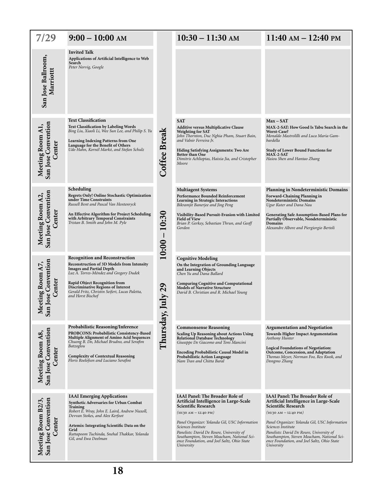| 7/29                                                                               | $9:00 - 10:00$ AM                                                                                                                                                                                                                                                                                                     |                    | $10:30 - 11:30$ AM                                                                                                                                                                                                                                                                                                                                                                      | $11:40 \text{ AM} - 12:40 \text{ PM}$                                                                                                                                                                                                                                                                                                                                                   |
|------------------------------------------------------------------------------------|-----------------------------------------------------------------------------------------------------------------------------------------------------------------------------------------------------------------------------------------------------------------------------------------------------------------------|--------------------|-----------------------------------------------------------------------------------------------------------------------------------------------------------------------------------------------------------------------------------------------------------------------------------------------------------------------------------------------------------------------------------------|-----------------------------------------------------------------------------------------------------------------------------------------------------------------------------------------------------------------------------------------------------------------------------------------------------------------------------------------------------------------------------------------|
| San Jose Ballroom,<br>Marriottt                                                    | <b>Invited Talk</b><br>Applications of Artificial Intelligence to Web<br>Search<br>Peter Norvig, Google                                                                                                                                                                                                               |                    |                                                                                                                                                                                                                                                                                                                                                                                         |                                                                                                                                                                                                                                                                                                                                                                                         |
| San Jose Convention<br>Meeting Room A1,<br>Center                                  | <b>Text Classification</b><br><b>Text Classification by Labeling Words</b><br>Bing Liu, Xiaoli Li, Wee Sun Lee, and Philip S. Yu<br><b>Learning Indexing Patterns from One</b><br>Language for the Benefit of Others<br>Udo Hahn, Kornél Markó, and Stefan Schulz                                                     | Coffee Break       | <b>SAT</b><br><b>Additive versus Multiplicative Clause</b><br><b>Weighting for SAT</b><br>John Thornton, Duc Nghia Pham, Stuart Bain,<br>and Valnir Ferreira Jr.<br>Hiding Satisfying Assignments: Two Are<br>Better than One<br>Dimitris Achlioptas, Haixia Jia, and Cristopher<br>Moore                                                                                               | $Max - SAT$<br>MAX-2-SAT: How Good Is Tabu Search in the<br><b>Worst-Case?</b><br>Monaldo Mastrolilli and Luca Maria Gam-<br>bardella<br><b>Study of Lower Bound Functions for</b><br>MAX-2-SAT<br>Haiou Shen and Hantao Zhang                                                                                                                                                          |
| <b>Meeting Room A2,<br/>San Jose Convention</b><br>Center                          | Scheduling<br>Regrets Only! Online Stochastic Optimization<br>under Time Constraints<br>Russell Bent and Pascal Van Hentenryck<br>An Effective Algorithm for Project Scheduling<br>with Arbitrary Temporal Constraints<br>Tristan B. Smith and John M. Pyle                                                           | 10:30<br>$10:00 -$ | <b>Multiagent Systems</b><br>Performance Bounded Reinforcement<br>Learning in Strategic Interactions<br>Bikramjit Banerjee and Jing Peng<br>Visibility-Based Pursuit-Evasion with Limited<br><b>Field of View</b><br>Brian P. Gerkey, Sebastian Thrun, and Geoff<br>Gordon                                                                                                              | <b>Planning in Nondeterministic Domains</b><br>Forward-Chaining Planning in<br>Nondeterministic Domains<br>Ugur Kuter and Dana Nau<br>Generating Safe Assumption-Based Plans for<br>Partially Observable, Nondeterministic<br>Domains<br>Alexandre Albore and Piergiorgio Bertoli                                                                                                       |
| <b>Jose Convention</b><br>eeting Room A7,<br>Center<br>$\overline{\mathbf{S}}$ and | <b>Recognition and Reconstruction</b><br>Reconstruction of 3D Models from Intensity<br><b>Images and Partial Depth</b><br>Luz A. Torres-Méndez and Gregory Dudek<br>Rapid Object Recognition from<br><b>Discriminative Regions of Interest</b><br>Gerald Fritz, Christin Seifert, Lucas Paletta,<br>and Horst Bischof | $u$ ly 29          | <b>Cognitive Modeling</b><br>On the Integration of Grounding Language<br>and Learning Objects<br>Chen Yu and Dana Ballard<br><b>Comparing Cognitive and Computational</b><br><b>Models of Narrative Structure</b><br>David B. Christian and R. Michael Young                                                                                                                            |                                                                                                                                                                                                                                                                                                                                                                                         |
| San Jose Convention<br>Meeting Room A8,<br>Center                                  | Probabilistic Reasoning/Inference<br>PROBCONS: Probabilistic Consistency-Based<br>Multiple Alignment of Amino Acid Sequences<br>Chuong B. Do, Michael Brudno, and Serafim<br>Batzoglou<br><b>Complexity of Contextual Reasoning</b><br>Floris Roelofsen and Luciano Serafini                                          | Thursday,          | <b>Commonsense Reasoning</b><br>Scaling Up Reasoning about Actions Using<br><b>Relational Database Technology</b><br>Giuseppe De Giacomo and Toni Mancini<br><b>Encoding Probabilistic Causal Model in</b><br><b>Probabilistic Action Language</b><br>Nam Tran and Chitta Baral                                                                                                         | <b>Argumentation and Negotiation</b><br><b>Towards Higher Impact Argumentation</b><br>Anthony Hunter<br><b>Logical Foundations of Negotiation:</b><br>Outcome, Concession, and Adaptation<br>Thomas Meyer, Norman Foo, Rex Kwok, and<br>Dongmo Zhang                                                                                                                                    |
| Meeting Room B2/3,<br>San Jose Convention<br>Center                                | <b>IAAI</b> Emerging Applications<br>Synthetic Adversaries for Urban Combat<br><b>Training</b><br>Robert E. Wray, John E. Laird, Andrew Nuxoll,<br>Devvan Stokes, and Alex Kerfoot<br>Artemis: Integrating Scientific Data on the<br>Grid<br>Rattapoom Tuchinda, Snehal Thakkar, Yolanda<br>Gil, and Ewa Deelman      |                    | <b>IAAI Panel: The Broader Role of</b><br>Artificial Intelligence in Large-Scale<br><b>Scientific Research</b><br>$(10.30 \text{ AM} - 12.40 \text{ PM})$<br>Panel Organizer: Yolanda Gil, USC Information<br>Sciences Institute<br>Panelists: David De Roure, University of<br>Southampton, Steven Meacham, National Sci-<br>ence Foundation, and Joel Saltz, Ohio State<br>University | <b>IAAI Panel: The Broader Role of</b><br>Artificial Intelligence in Large-Scale<br><b>Scientific Research</b><br>$(10.30 \text{ AM} - 12.40 \text{ PM})$<br>Panel Organizer: Yolanda Gil, USC Information<br>Sciences Institute<br>Panelists: David De Roure, University of<br>Southampton, Steven Meacham, National Sci-<br>ence Foundation, and Joel Saltz, Ohio State<br>University |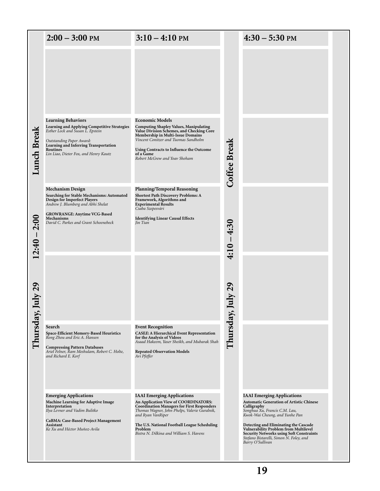|                    | $2:00 - 3:00$ PM                                                                                                                                                                                                                        | $3:10 - 4:10$ PM                                                                                                                                                                                                                                                                                           |               | $4:30 - 5:30$ PM                                                                                                                                                                                                                                                                                                   |  |
|--------------------|-----------------------------------------------------------------------------------------------------------------------------------------------------------------------------------------------------------------------------------------|------------------------------------------------------------------------------------------------------------------------------------------------------------------------------------------------------------------------------------------------------------------------------------------------------------|---------------|--------------------------------------------------------------------------------------------------------------------------------------------------------------------------------------------------------------------------------------------------------------------------------------------------------------------|--|
|                    |                                                                                                                                                                                                                                         |                                                                                                                                                                                                                                                                                                            |               |                                                                                                                                                                                                                                                                                                                    |  |
| <b>Lunch Break</b> | <b>Learning Behaviors</b><br>Learning and Applying Competitive Strategies<br>Esther Lock and Susan L. Epstein<br>Outstanding Paper Award:<br>Learning and Inferring Transportation<br>Routines<br>Lin Liao, Dieter Fox, and Henry Kautz | <b>Economic Models</b><br><b>Computing Shapley Values, Manipulating</b><br>Value Division Schemes, and Checking Core<br>Membership in Multi-Issue Domains<br>Vincent Conitzer and Tuomas Sandholm<br>Using Contracts to Influence the Outcome<br>of a Game<br>Robert McGrew and Yoav Shoham                | Coffee Break  |                                                                                                                                                                                                                                                                                                                    |  |
|                    | <b>Mechanism Design</b><br>Searching for Stable Mechanisms: Automated<br><b>Design for Imperfect Players</b><br>Andrew J. Blumberg and Abhi Shelat                                                                                      | <b>Planning/Temporal Reasoning</b><br>Shortest Path Discovery Problems: A<br>Framework, Algorithms and<br><b>Experimental Results</b><br>Csaba Szepesvári                                                                                                                                                  |               |                                                                                                                                                                                                                                                                                                                    |  |
| 2:00<br>$(2:40 -$  | <b>GROWRANGE: Anytime VCG-Based</b><br>Mechanisms<br>David C. Parkes and Grant Schoenebeck                                                                                                                                              | <b>Identifying Linear Causal Effects</b><br>Jin Tian                                                                                                                                                                                                                                                       | $4:10 - 4:30$ |                                                                                                                                                                                                                                                                                                                    |  |
| nly 29             |                                                                                                                                                                                                                                         |                                                                                                                                                                                                                                                                                                            | $11V$ 29      |                                                                                                                                                                                                                                                                                                                    |  |
|                    |                                                                                                                                                                                                                                         |                                                                                                                                                                                                                                                                                                            |               |                                                                                                                                                                                                                                                                                                                    |  |
| Thursday, J        | Search<br>Space-Efficient Memory-Based Heuristics<br>Rong Zhou and Eric A. Hansen<br><b>Compressing Pattern Databases</b><br>Ariel Felner, Ram Meshulam, Robert C. Holte,<br>and Richard E. Korf                                        | <b>Event Recognition</b><br><b>CASEE: A Hierarchical Event Representation</b><br>for the Analysis of Videos<br>Asaad Hakeem, Yaser Sheikh, and Mubarak Shah<br><b>Repeated Observation Models</b><br>Avi Pfeffer                                                                                           | Thursday, J   |                                                                                                                                                                                                                                                                                                                    |  |
|                    | <b>Emerging Applications</b><br><b>Machine Learning for Adaptive Image</b><br>Interpretation<br>Ilya Levner and Vadim Bulitko<br>CaBMA: Case-Based Project Management<br>Assistant<br>Ke Xu and Héctor Muñoz-Avila                      | <b>IAAI</b> Emerging Applications<br>An Application View of COORDINATORS:<br><b>Coordination Managers for First Responders</b><br>Thomas Wagner, John Phelps, Valerie Guralnik,<br>and Ryan VanRiper<br>The U.S. National Football League Scheduling<br>Problem<br>Bistra N. Dilkina and William S. Havens |               | <b>IAAI</b> Emerging Applications<br><b>Automatic Generation of Artistic Chinese</b><br>Calligraphy<br>Songhua Xu, Francis C.M. Lau,<br>Kwok-Wai Cheung, and Yunhe Pan<br>Detecting and Eliminating the Cascade<br><b>Vulnerability Problem from Multilevel</b><br><b>Security Networks using Soft Constraints</b> |  |
|                    |                                                                                                                                                                                                                                         |                                                                                                                                                                                                                                                                                                            |               | Stefano Bistarelli, Simon N. Foley, and<br>Barry O'Sullivan<br>19                                                                                                                                                                                                                                                  |  |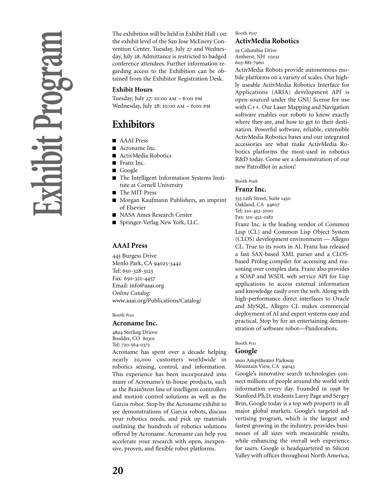The exhibition will be held in Exhibit Hall 1 on the exhibit level of the San Jose McEnery Convention Center, Tuesday, July 27 and Wednesday, July 28. Admittance is restricted to badged conference attendees. Further information regarding access to the Exhibition can be obtained from the Exhibitor Registration Desk.

### **Exhibit Hours**

Tuesday, July 27: 10:00 AM  $-$  6:00 PM Wednesday, July 28: 10:00 AM  $-$  6:00 PM

# **Exhibitors**

- AAAI Press
- Acroname Inc.
- ActivMedia Robotics
- Franz Inc.
- Google
- The Intelligent Information Systems Institute at Cornell University
- The MIT Press
- Morgan Kaufmann Publishers, an imprint of Elsevier
- NASA Ames Research Center
- Springer-Verlag New York, LLC.

### **AAAI Press**

445 Burgess Drive Menlo Park, CA 94025-3442 Tel: 650-328-3123 Fax: 650-321-4457 Email: info@aaai.org *Online Catalog:* www.aaai.org/Publications/Catalog/

Booth  $\#$ 110

### **Acroname Inc.**

4894 Sterling Driove Boulder, CO 80301 Tel: 720-564-0373

Acroname has spent over a decade helping nearly 20,000 customers worldwide in robotics sensing, control, and information. This experience has been incorporated into many of Acroname's in-house products, such as the BrainStem line of intelligent controllers and motion control solutions as well as the Garcia robot. Stop by the Acroname exhibit to see demonstrations of Garcia robots, discuss your robotics needs, and pick up materials outlining the hundreds of robotics solutions offered by Acroname. Acroname can help you accelerate your research with open, inexpensive, proven, and flexible robot platforms.

### Booth #

### **ActivMedia Robotics**

19 Columbia Drive Amherst, NH 603-881-7960

ActivMedia Robots provide autonomous mobile platforms on a variety of scales. Our highly useable ActivMedia Robotics Interface for Applications (ARIA) development API is open-sourced under the GNU license for use with C++. Our Laser Mapping and Navigation software enables our robots to know exactly where they are, and how to get to their destination. Powerful software, reliable, extensible ActivMedia Robotics bases and our integrated accessories are what make ActivMedia Robotics platforms the most-used in robotics R&D today. Come see a demonstration of our new PatrolBot in action!

Booth #

### **Franz Inc.**

555 12th Street, Suite 1450 Oakland, CA 94607 Tel: 510-452-2000 Fax: 510-452-0182

Franz Inc. is the leading vendor of Common Lisp (CL) and Common Lisp Object System (CLOS) development environment — Allegro CL. True to its roots in AI, Franz has released a fast SAX-based XML parser and a CLOSbased Prolog compiler for accessing and reasoning over complex data. Franz also provides a SOAP and WSDL web service API for Lisp applications to access external information and knowledge easily over the web. Along with high-performance direct interfaces to Oracle and MySQL, Allegro CL makes commercial deployment of AI and expert systems easy and practical. Stop by for an entertaining demonstration of software robot—Pandorabots.

Booth  $\#$ 111

### **Google**

1600 Ampitheater Parkway

Mountain View, CA 94043

Google's innovative search technologies connect millions of people around the world with information every day. Founded in 1998 by Stanford Ph.D. students Larry Page and Sergey Brin, Google today is a top web property in all major global markets. Google's targeted advertising program, which is the largest and fastest growing in the industry, provides businesses of all sizes with measurable results, while enhancing the overall web experience for users. Google is headquartered in Silicon Valley with offices throughout North America,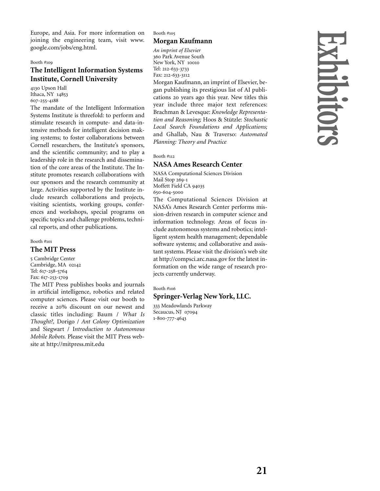Europe, and Asia. For more information on joining the engineering team, visit www. google.com/jobs/eng.html.

### Booth #

### **The Intelligent Information Systems Institute, Cornell University**

4130 Upson Hall Ithaca, NY 14853 607-255-4188

The mandate of the Intelligent Information Systems Institute is threefold: to perform and stimulate research in compute- and data-intensive methods for intelligent decision making systems; to foster collaborations between Cornell researchers, the Institute's sponsors, and the scientific community; and to play a leadership role in the research and dissemination of the core areas of the Institute. The Institute promotes research collaborations with our sponsors and the research community at large. Activities supported by the Institute include research collaborations and projects, visiting scientists, working groups, conferences and workshops, special programs on specific topics and challenge problems, technical reports, and other publications.

# Booth #

### **The MIT Press**

 Cambridge Center Cambridge, MA Tel: 617-258-5764 Fax: 617-253-1709

The MIT Press publishes books and journals in artificial intelligence, robotics and related computer sciences. Please visit our booth to receive a 20% discount on our newest and classic titles including: Baum / *What Is Thought?,* Dorigo / *Ant Colony Optimization* and Siegwart / I*ntroduction to Autonomous Mobile Robots.* Please visit the MIT Press website at http://mitpress.mit.edu

Booth # **Morgan Kaufmann**

*An imprint of Elsevier* 360 Park Avenue South New York, NY Tel: 212-633-3733 Fax: 212-633-3112

Morgan Kaufmann, an imprint of Elsevier, began publishing its prestigious list of AI publications 20 years ago this year. New titles this year include three major text references: Brachman & Levesque: *Knowledge Representation and Reasoning;* Hoos & Stützle: *Stochastic Local Search Foundations and Applications;* and Ghallab, Nau & Traverso: *Automated Planning: Theory and Practice*

### Booth #

### **NASA Ames Research Center**

NASA Computational Sciences Division Mail Stop 269-1 Moffett Field CA 94035 650-604-5000 The Computational Sciences Division at

NASA's Ames Research Center performs mission-driven research in computer science and information technology. Areas of focus include autonomous systems and robotics; intelligent system health management; dependable software systems; and collaborative and assistant systems. Please visit the division's web site at http://compsci.arc.nasa.gov for the latest information on the wide range of research projects currently underway.

### Booth #

### **Springer-Verlag New York, LLC.**

333 Meadowlands Parkway Secaucus, NJ 07094 1-800-777-4643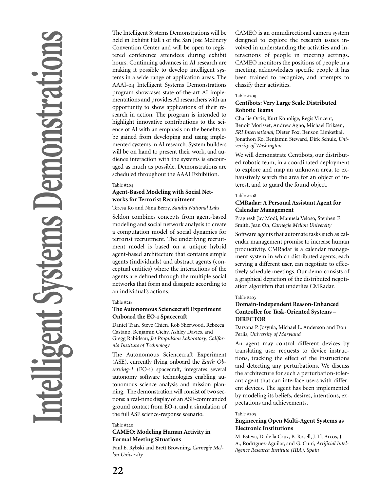The Intelligent Systems Demonstrations will be held in Exhibit Hall 1 of the San Jose McEnery Convention Center and will be open to registered conference attendees during exhibit hours. Continuing advances in AI research are making it possible to develop intelligent systems in a wide range of application areas. The AAAI-04 Intelligent Systems Demonstrations program showcases state-of-the-art AI implementations and provides AI researchers with an opportunity to show applications of their research in action. The program is intended to highlight innovative contributions to the science of AI with an emphasis on the benefits to be gained from developing and using implemented systems in AI research. System builders will be on hand to present their work, and audience interaction with the systems is encouraged as much as possible. Demonstrations are scheduled throughout the AAAI Exhibition.

### Table #

### **Agent-Based Modeling with Social Networks for Terrorist Recruitment**

Teresa Ko and Nina Berry, *Sandia National Labs*

Seldon combines concepts from agent-based modeling and social network analysis to create a computation model of social dynamics for terrorist recruitment. The underlying recruitment model is based on a unique hybrid agent-based architecture that contains simple agents (individuals) and abstract agents (conceptual entities) where the interactions of the agents are defined through the multiple social networks that form and dissipate according to an individual's actions.

### Table #

### **The Autonomous Sciencecraft Experiment Onboard the EO-1 Spacecraft**

Daniel Tran, Steve Chien, Rob Sherwood, Rebecca Castano, Benjamin Cichy, Ashley Davies, and Gregg Rabideau, *Jet Propulsion Laboratory, California Institute of Technology*

The Autonomous Sciencecraft Experiment (ASE), currently flying onboard the *Earth Observing-1* (EO-) spacecraft, integrates several autonomy software technologies enabling autonomous science analysis and mission planning. The demonstration will consist of two sections: a real-time display of an ASE-commanded ground contact from EO-, and a simulation of the full ASE science-response scenario.

### Table #

### **CAMEO: Modeling Human Activity in Formal Meeting Situations**

Paul E. Rybski and Brett Browning, *Carnegie Mellon University*

CAMEO is an omnidirectional camera system designed to explore the research issues involved in understanding the activities and interactions of people in meeting settings. CAMEO monitors the positions of people in a meeting, acknowledges specific people it has been trained to recognize, and attempts to classify their activities.

### Table #

### **Centibots: Very Large Scale Distributed Robotic Teams**

Charlie Ortiz, Kurt Konolige, Regis Vincent, Benoit Morisset, Andrew Agno, Michael Eriksen, *SRI International;* Dieter Fox, Benson Limketkai, Jonathon Ko, Benjamin Steward, Dirk Schulz, *University of Washington*

We will demonstrate Centibots, our distributed robotic team, in a coordinated deployment to explore and map an unknown area, to exhaustively search the area for an object of interest, and to guard the found object.

### Table #

### **CMRadar: A Personal Assistant Agent for Calendar Management**

Pragnesh Jay Modi, Manuela Veloso, Stephen F. Smith, Jean Oh, *Carnegie Mellon University*

Software agents that automate tasks such as calendar management promise to increase human productivity. CMRadar is a calendar management system in which distributed agents, each serving a different user, can negotiate to effectively schedule meetings. Our demo consists of a graphical depiction of the distributed negotiation algorithm that underlies CMRadar.

### Table #

### **Domain-Independent Reason-Enhanced Controller for Task-Oriented Systems – DIRECTOR**

Darsana P. Josyula, Michael L. Anderson and Don Perlis, *University of Maryland*

An agent may control different devices by translating user requests to device instructions, tracking the effect of the instructions and detecting any perturbations. We discuss the architecture for such a perturbation-tolerant agent that can interface users with different devices. The agent has been implemented by modeling its beliefs, desires, intentions, expectations and achievements.

### Table #

### **Engineering Open Multi-Agent Systems as Electronic Institutions**

M. Esteva, D. de la Cruz, B. Rosell, J. Ll. Arcos, J. A., Rodríguez-Aguilar, and G. Cuní, *Artificial Intelligence Research Institute (IIIA), Spain*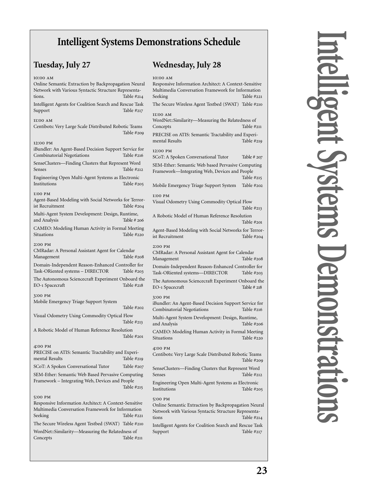# **Intelligent Systems Demonstrations Schedule**

# **Tuesday, July 27**

# **Wednesday, July 28**

| 10:00 AM<br>Online Semantic Extraction by Backpropagation Neural<br>Network with Various Syntactic Structure Representa-<br>tions.                                                      | Table $\#214$ | 10:00 AM<br>Responsive Information Architect: A Context-Sensitive<br>Multimedia Conversation Framework for Information<br>Seeking                                                           | Table $\#221$               |
|-----------------------------------------------------------------------------------------------------------------------------------------------------------------------------------------|---------------|---------------------------------------------------------------------------------------------------------------------------------------------------------------------------------------------|-----------------------------|
| Intelligent Agents for Coalition Search and Rescue Task<br>Support                                                                                                                      | Table #217    | The Secure Wireless Agent Testbed (SWAT) Table #210                                                                                                                                         |                             |
| 11:00 AM<br>Centibots: Very Large Scale Distributed Robotic Teams                                                                                                                       | Table #209    | 11:00 AM<br>WordNet::Similarity—Measuring the Relatedness of<br>Concepts                                                                                                                    | Table #211                  |
| 12:00 PM<br>iBundler: An Agent-Based Decision Support Service for                                                                                                                       |               | PRECISE on ATIS: Semantic Tractability and Experi-<br>mental Results<br>12:00 PM                                                                                                            | Table #219                  |
| Combinatorial Negotiations<br>SenseClusters-Finding Clusters that Represent Word                                                                                                        | Table #216    | SCoT: A Spoken Conversational Tutor                                                                                                                                                         | Table $# 207$               |
| Senses                                                                                                                                                                                  | Table #212    | SEM-Ether: Semantic Web based Pervasive Computing<br>Framework-Integrating Web, Devices and People                                                                                          |                             |
| Engineering Open Multi-Agent Systems as Electronic<br>Institutions                                                                                                                      | Table #205    | Mobile Emergency Triage Support System                                                                                                                                                      | Table $#215$<br>Table #202  |
| 1:00 PM<br>Agent-Based Modeling with Social Networks for Terror-<br>ist Recruitment                                                                                                     | Table #204    | 1:00 PM<br>Visual Odometry Using Commodity Optical Flow                                                                                                                                     |                             |
| Multi-Agent System Development: Design, Runtime,<br>and Analysis                                                                                                                        | Table # 206   | A Robotic Model of Human Reference Resolution                                                                                                                                               | Table #213<br>Table #201    |
| CAMEO: Modeling Human Activity in Formal Meeting<br>Situations                                                                                                                          | Table #220    | Agent-Based Modeling with Social Networks for Terror-<br>ist Recruitment                                                                                                                    | Table #204                  |
| 2:00 PM<br>CMRadar: A Personal Assistant Agent for Calendar<br>Management                                                                                                               | Table #208    | 2:00 PM<br>CMRadar: A Personal Assistant Agent for Calendar<br>Management                                                                                                                   | Table #208                  |
| Domain-Independent Reason-Enhanced Controller for<br>Task-ORiented systems - DIRECTOR                                                                                                   | Table $\#203$ | Domain-Independent Reason-Enhanced Controller for<br>Task-ORiented systems-DIRECTOR                                                                                                         | Table $\#203$               |
| The Autonomous Sciencecraft Experiment Onboard the<br>EO-1 Spacecraft                                                                                                                   | Table $\#218$ | The Autonomous Sciencecraft Experiment Onboard the<br>EO-1 Spacecraft                                                                                                                       | Table # 218                 |
| 3:00 PM<br>Mobile Emergency Triage Support System                                                                                                                                       |               | 3:00 PM                                                                                                                                                                                     |                             |
|                                                                                                                                                                                         | Table $\#202$ | iBundler: An Agent-Based Decision Support Service for<br>Combinatorial Negotiations                                                                                                         | Table #216                  |
| Visual Odometry Using Commodity Optical Flow                                                                                                                                            | Table $\#213$ | Multi-Agent System Development: Design, Runtime,<br>and Analysis                                                                                                                            | Table #206                  |
| A Robotic Model of Human Reference Resolution                                                                                                                                           | Table #201    | CAMEO: Modeling Human Activity in Formal Meeting<br>Situations                                                                                                                              | Table #220                  |
| 4:00 PM<br>PRECISE on ATIS: Semantic Tractability and Experi-<br>mental Results                                                                                                         | Table $#219$  | 4:00 PM<br>Centibots: Very Large Scale Distributed Robotic Teams                                                                                                                            | Table #209                  |
| SCoT: A Spoken Conversational Tutor                                                                                                                                                     | Table #207    | SenseClusters-Finding Clusters that Represent Word                                                                                                                                          |                             |
| SEM-Ether: Semantic Web Based Pervasive Computing<br>Framework - Integrating Web, Devices and People                                                                                    | Table $#215$  | Senses<br>Engineering Open Multi-Agent Systems as Electronic<br>Institutions                                                                                                                | Table #212<br>Table $\#205$ |
| 5:00 PM<br>Responsive Information Architect: A Context-Sensitive<br>Multimedia Conversation Framework for Information<br>Seeking<br>The Secure Wireless Agent Testbed (SWAT) Table #210 | Table #221    | 5:00 PM<br>Online Semantic Extraction by Backpropagation Neural<br>Network with Various Syntactic Structure Representa-<br>tions<br>Intelligent Agents for Coalition Search and Rescue Task | Table $#214$                |
| WordNet::Similarity-Measuring the Relatedness of<br>Concepts                                                                                                                            | Table $\#211$ | Support                                                                                                                                                                                     | Table $\#217$               |
|                                                                                                                                                                                         |               |                                                                                                                                                                                             |                             |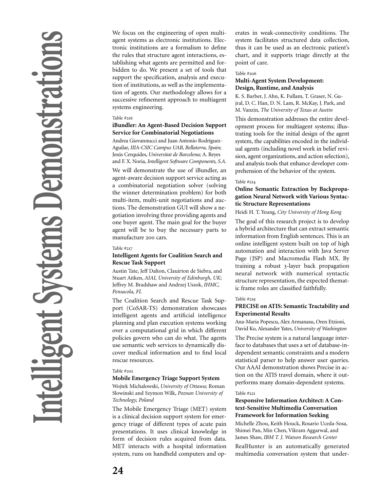We focus on the engineering of open multiagent systems as electronic institutions. Electronic institutions are a formalism to define the rules that structure agent interactions, establishing what agents are permitted and forbidden to do. We present a set of tools that support the specification, analysis and execution of institutions, as well as the implementation of agents. Our methodology allows for a successive refinement approach to multiagent systems engineering.

### Table #

### **iBundler: An Agent-Based Decision Support Service for Combinatorial Negotiations**

Andrea Giovannucci and Juan Antonio Rodríguez-Aguilar, *IIIA-CSIC Campus UAB, Bellaterra, Spain;* Jesús Cerquides, *Universitat de Barcelona;* A. Reyes and F. X. Noria, *Intelligent Software Components, S.A.*

We will demonstrate the use of iBundler, an agent-aware decision support service acting as a combinatorial negotiation solver (solving the winner determination problem) for both multi-item, multi-unit negotiations and auctions. The demonstration GUI will show a negotiation involving three providing agents and one buyer agent. The main goal for the buyer agent will be to buy the necessary parts to manufacture 200 cars.

### Table #

### **Intelligent Agents for Coalition Search and Rescue Task Support**

Austin Tate, Jeff Dalton, Clauirton de Siebra, and Stuart Aitken, *AIAI, University of Edinburgh, UK;* Jeffrey M. Bradshaw and Andrzej Uszok, *IHMC, Pensacola, FL*

The Coalition Search and Rescue Task Support (CoSAR-TS) demonstration showcases intelligent agents and artificial intelligence planning and plan execution systems working over a computational grid in which different policies govern who can do what. The agents use semantic web services to dynamically discover medical information and to find local rescue resources.

### Table #

### **Mobile Emergency Triage Support System**

Wojtek Michalowski, *University of Ottawa;* Roman Slowinski and Szymon Wilk, *Poznan University of Technology, Poland*

The Mobile Emergency Triage (MET) system is a clinical decision support system for emergency triage of different types of acute pain presentations. It uses clinical knowledge in form of decision rules acquired from data. MET interacts with a hospital information system, runs on handheld computers and op-

erates in weak-connectivity conditions. The system facilitates structured data collection, thus it can be used as an electronic patient's chart, and it supports triage directly at the point of care.

### Table #

### **Multi-Agent System Development: Design, Runtime, and Analysis**

K. S. Barber, J. Ahn, K. Fullam, T. Graser, N. Gujral, D. C. Han, D. N. Lam, R. McKay, J. Park, and M. Vanzin, *The University of Texas at Austin*

This demonstration addresses the entire development process for multiagent systems; illustrating tools for the initial design of the agent system, the capabilities encoded in the individual agents (including novel work in belief revision, agent organizations, and action selection), and analysis tools that enhance developer comprehension of the behavior of the system.

### Table #

### **Online Semantic Extraction by Backpropagation Neural Network with Various Syntactic Structure Representations**

### Heidi H. T. Yeung, *City University of Hong Kong*

The goal of this research project is to develop a hybrid architecture that can extract semantic information from English sentences. This is an online intelligent system built on top of high automation and interaction with Java Server Page (JSP) and Macromedia Flash MX. By training a robust 3-layer back propagation neural network with numerical syntactic structure representation, the expected thematic frame roles are classified faithfully.

### Table #

### **PRECISE on ATIS: Semantic Tractability and Experimental Results**

Ana-Maria Popescu, Alex Armanasu, Oren Etzioni, David Ko, Alexander Yates, *University of Washington*

The Precise system is a natural language interface to databases that uses a set of database-independent semantic constraints and a modern statistical parser to help answer user queries. Our AAAI demonstration shows Precise in action on the ATIS travel domain, where it outperforms many domain-dependent systems.

### Table #

### **Responsive Information Architect: A Context-Sensitive Multimedia Conversation Framework for Information Seeking**

Michelle Zhou, Keith Houck, Rosario Uceda-Sosa, Shimei Pan, Min Chen, Vikram Aggarwal, and James Shaw, *IBM T. J. Watson Research Center*

RealHunter is an automatically generated multimedia conversation system that under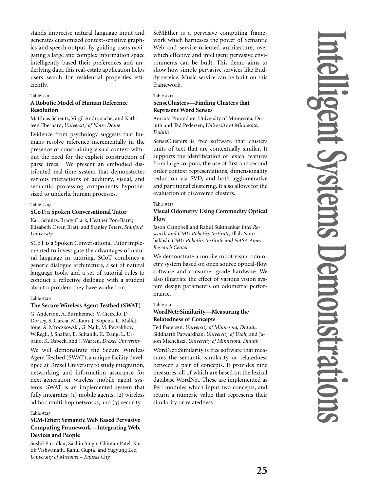stands imprecise natural language input and generates customized context-sensitive graphics and speech output. By guiding users navigating a large and complex information space intelligently based their preferences and underlying data, this real-estate application helps users search for residential properties efficiently.

### Table #

### **A Robotic Model of Human Reference Resolution**

Matthias Scheutz, Virgil Andronache, and Kathleen Eberhard, *University of Notre Dame*

Evidence from psychology suggests that humans resolve reference incrementally in the presence of constraining visual context without the need for the explicit construction of parse trees. We present an embodied distributed real-time system that demonstrates various interactions of auditory, visual, and semantic processing components hypothesized to underlie human processes.

### Table #

### **SCoT: a Spoken Conversational Tutor**

Karl Schultz, Brady Clark, Heather Pon-Barry, Elizabeth Owen Bratt, and Stanley Peters, *Stanford University*

SCoT is a Spoken Conversational Tutor implemented to investigate the advantages of natural language in tutoring. SCoT combines a generic dialogue architecture, a set of natural language tools, and a set of tutorial rules to conduct a reflective dialogue with a student about a problem they have worked on.

### Table #

### **The Secure Wireless Agent Testbed (SWAT)**

G. Anderson, A. Burnheimer, V. Cicirello, D. Dorsey, S. Garcia, M. Kam, J. Kopena, K. Malfettone, A. Mroczkowski, G. Naik, M. Peysakhov, W.Regli, J. Shaffer, E. Sultanik, K. Tsang, L. Urbano, K. Usbeck, and J. Warren, *Drexel University*

We will demonstrate the Secure Wireless Agent Testbed (SWAT), a unique facility developed at Drexel University to study integration, networking and information assurance for next-generation wireless mobile agent systems. SWAT is an implemented system that fully integrates:  $(i)$  mobile agents,  $(i)$  wireless ad hoc multi-hop networks, and  $(3)$  security.

### Table #

### **SEM-Ether: Semantic Web Based Pervasive Computing Framework—Integrating Web, Devices and People**

Sushil Puradkar, Sachin Singh, Chintan Patel, Kartik Vishwanath, Rahul Gupta, and Yugyung Lee, *University of Missouri – Kansas City*

SeMEther is a pervasive computing framework which harnesses the power of Semantic Web and service-oriented architecture, over which effective and intelligent pervasive environments can be built. This demo aims to show how simple pervasive services like Buddy service, Music service can be built on this framework.

### Table #

### **SenseClusters—Finding Clusters that Represent Word Senses**

Amruta Purandare, University of Minnesota, Duluth and Ted Pedersen, *University of Minnesota, Duluth*

SenseClusters is free software that clusters units of text that are contextually similar. It supports the identification of lexical features from large corpora, the use of first and second order context representations, dimensionality reduction via SVD, and both agglomerative and partitional clustering. It also allows for the evaluation of discovered clusters.

### Table #

### **Visual Odometry Using Commodity Optical Flow**

Jason Campbell and Rahul Sukthankar *Intel Research and CMU Robotics Institute;* Illah Nourbakhsh, *CMU Robotics Institute and NASA Ames Research Center*

We demonstrate a mobile robot visual odometry system based on open source optical-flow software and consumer grade hardware. We also illustrate the effect of various vision system design parameters on odometric performance.

### Table #

### **WordNet::Similarity—Measuring the Relatedness of Concepts**

Ted Pedersen, *University of Minnesota, Duluth,* Siddharth Patwardhan, *University of Utah,* and Jason Michelizzi, *University of Minnesota, Duluth*

WordNet::Similarity is free software that measures the semantic similarity or relatedness between a pair of concepts. It provides nine measures, all of which are based on the lexical database WordNet. These are implemented as Perl modules which input two concepts, and return a numeric value that represents their similarity or relatedness.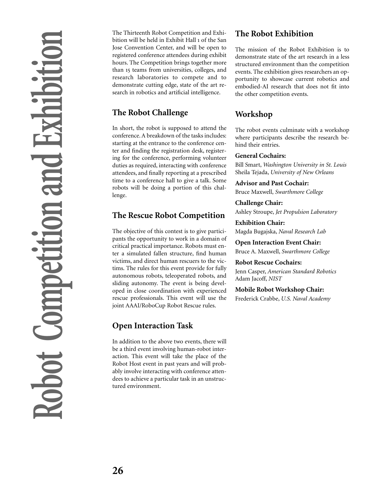The Thirteenth Robot Competition and Exhibition will be held in Exhibit Hall 1 of the San Jose Convention Center, and will be open to registered conference attendees during exhibit hours. The Competition brings together more than 15 teams from universities, colleges, and research laboratories to compete and to demonstrate cutting edge, state of the art research in robotics and artificial intelligence.

# **The Robot Challenge**

In short, the robot is supposed to attend the conference. A breakdown of the tasks includes: starting at the entrance to the conference center and finding the registration desk, registering for the conference, performing volunteer duties as required, interacting with conference attendees, and finally reporting at a prescribed time to a conference hall to give a talk. Some robots will be doing a portion of this challenge.

# **The Rescue Robot Competition**

The objective of this contest is to give participants the opportunity to work in a domain of critical practical importance. Robots must enter a simulated fallen structure, find human victims, and direct human rescuers to the victims. The rules for this event provide for fully autonomous robots, teleoperated robots, and sliding autonomy. The event is being developed in close coordination with experienced rescue professionals. This event will use the joint AAAI/RoboCup Robot Rescue rules.

# **Open Interaction Task**

In addition to the above two events, there will be a third event involving human-robot interaction. This event will take the place of the Robot Host event in past years and will probably involve interacting with conference attendees to achieve a particular task in an unstructured environment.

# **The Robot Exhibition**

The mission of the Robot Exhibition is to demonstrate state of the art research in a less structured environment than the competition events. The exhibition gives researchers an opportunity to showcase current robotics and embodied-AI research that does not fit into the other competition events.

# **Workshop**

The robot events culminate with a workshop where participants describe the research behind their entries.

### **General Cochairs:**

Bill Smart, *Washington University in St. Louis* Sheila Tejada, *University of New Orleans*

**Advisor and Past Cochair:** Bruce Maxwell, *Swarthmore College*

**Challenge Chair:**

Ashley Stroupe, *Jet Propulsion Laboratory*

### **Exhibition Chair:**

Magda Bugajska, *Naval Research Lab*

**Open Interaction Event Chair:** Bruce A. Maxwell, *Swarthmore College*

### **Robot Rescue Cochairs:**

Jenn Casper, *American Standard Robotics* Adam Jacoff, *NIST*

### **Mobile Robot Workshop Chair:**

Frederick Crabbe, *U.S. Naval Academy*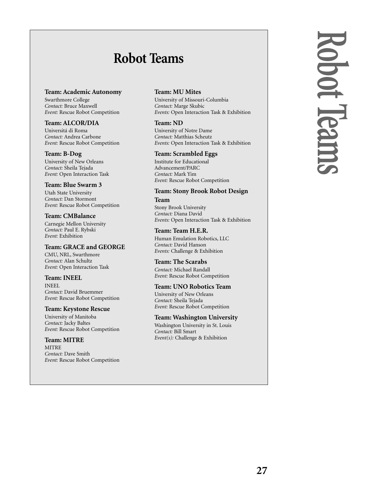# **Robot Teams**

### **Team: Academic Autonomy**

Swarthmore College *Contact:* Bruce Maxwell *Event:* Rescue Robot Competition

### **Team: ALCOR/DIA**

Universitá di Roma *Contact:* Andrea Carbone *Event:* Rescue Robot Competition

### **Team: B-Dog**

University of New Orleans *Contact:* Sheila Tejada *Event:* Open Interaction Task

### **Team: Blue Swarm 3**

Utah State University *Contact:* Dan Stormont *Event:* Rescue Robot Competition

### **Team: CMBalance**

Carnegie Mellon University *Contact:* Paul E. Rybski *Event:* Exhibition

### **Team: GRACE and GEORGE**

CMU, NRL, Swarthmore *Contact:* Alan Schultz *Event:* Open Interaction Task

### **Team: INEEL**

INEEL *Contact:* David Bruemmer *Event:* Rescue Robot Competition

### **Team: Keystone Rescue**

University of Manitoba *Contact:* Jacky Baltes *Event:* Rescue Robot Competition

### **Team: MITRE MITRE**

*Contact:* Dave Smith *Event:* Rescue Robot Competition

### **Team: MU Mites**

University of Missouri-Columbia *Contact:* Marge Skubic *Events:* Open Interaction Task & Exhibition

### **Team: ND**

University of Notre Dame *Contact:* Matthias Scheutz *Events:* Open Interaction Task & Exhibition

### **Team: Scrambled Eggs**

Institute for Educational Advancement/PARC *Contact:* Mark Yim *Event:* Rescue Robot Competition

# **Team: Stony Brook Robot Design**

**Team** Stony Brook University *Contact:* Diana David *Events:* Open Interaction Task & Exhibition

### **Team: Team H.E.R.**

Human Emulation Robotics, LLC *Contact:* David Hanson *Events:* Challenge & Exhibition

### **Team: The Scarabs**

*Contact:* Michael Randall *Event:* Rescue Robot Competition

### **Team: UNO Robotics Team**

University of New Orleans *Contact:* Sheila Tejada *Event:* Rescue Robot Competition

### **Team: Washington University**

Washington University in St. Louis *Contact:* Bill Smart *Event(s):* Challenge & Exhibition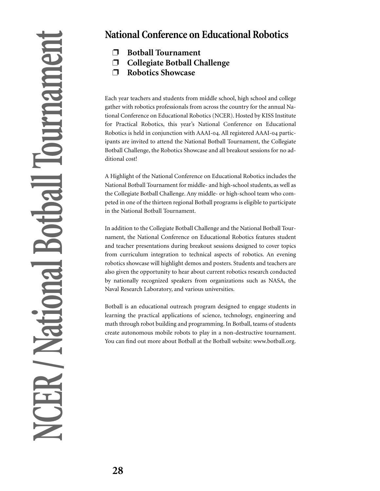# **National Conference on Educational Robotics**

- ❐ **Botball Tournament**
- ❐ **Collegiate Botball Challenge**
- ❐ **Robotics Showcase**

Each year teachers and students from middle school, high school and college gather with robotics professionals from across the country for the annual National Conference on Educational Robotics (NCER). Hosted by KISS Institute for Practical Robotics, this year's National Conference on Educational Robotics is held in conjunction with AAAI-04. All registered AAAI-04 participants are invited to attend the National Botball Tournament, the Collegiate Botball Challenge, the Robotics Showcase and all breakout sessions for no additional cost!

A Highlight of the National Conference on Educational Robotics includes the National Botball Tournament for middle- and high-school students, as well as the Collegiate Botball Challenge. Any middle- or high-school team who competed in one of the thirteen regional Botball programs is eligible to participate in the National Botball Tournament.

In addition to the Collegiate Botball Challenge and the National Botball Tournament, the National Conference on Educational Robotics features student and teacher presentations during breakout sessions designed to cover topics from curriculum integration to technical aspects of robotics. An evening robotics showcase will highlight demos and posters. Students and teachers are also given the opportunity to hear about current robotics research conducted by nationally recognized speakers from organizations such as NASA, the Naval Research Laboratory, and various universities.

Botball is an educational outreach program designed to engage students in learning the practical applications of science, technology, engineering and math through robot building and programming. In Botball, teams of students create autonomous mobile robots to play in a non-destructive tournament. You can find out more about Botball at the Botball website: www.botball.org.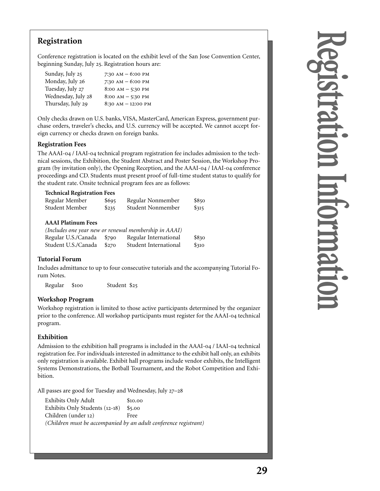# **Registration**

Conference registration is located on the exhibit level of the San Jose Convention Center, beginning Sunday, July 25. Registration hours are:

| Sunday, July 25    | 7:30 AM $-$ 6:00 PM  |
|--------------------|----------------------|
| Monday, July 26    | 7:30 AM $-$ 6:00 PM  |
| Tuesday, July 27   | $8:00 AM - 5:30 PM$  |
| Wednesday, July 28 | $8:00 AM - 5:30 PM$  |
| Thursday, July 29  | $8:30 AM - 12:00 PM$ |

Only checks drawn on U.S. banks, VISA, MasterCard, American Express, government purchase orders, traveler's checks, and U.S. currency will be accepted. We cannot accept foreign currency or checks drawn on foreign banks.

### **Registration Fees**

The AAAI-04 / IAAI-04 technical program registration fee includes admission to the technical sessions, the Exhibition, the Student Abstract and Poster Session, the Workshop Program (by invitation only), the Opening Reception, and the  $AAAI-<sub>04</sub> / IAAI-<sub>04</sub>$  conference proceedings and CD. Students must present proof of full-time student status to qualify for the student rate. Onsite technical program fees are as follows:

| <b>Technical Registration Fees</b> |       |                   |       |  |  |  |
|------------------------------------|-------|-------------------|-------|--|--|--|
| Regular Member                     | \$695 | Regular Nonmember | \$850 |  |  |  |
| Student Member                     | \$235 | Student Nonmember | \$315 |  |  |  |

### **AAAI Platinum Fees**

|                           |       | (Includes one year new or renewal membership in AAAI) |       |
|---------------------------|-------|-------------------------------------------------------|-------|
| Regular U.S./Canada \$790 |       | Regular International                                 | \$830 |
| Student U.S./Canada       | \$270 | Student International                                 | \$310 |

# **Tutorial Forum**

Includes admittance to up to four consecutive tutorials and the accompanying Tutorial Forum Notes.

Regular \$100 Student \$25

### **Workshop Program**

Workshop registration is limited to those active participants determined by the organizer prior to the conference. All workshop participants must register for the AAAI-04 technical program.

### **Exhibition**

Admission to the exhibition hall programs is included in the  $AAAI-<sub>04</sub> / IAAI-<sub>04</sub>$  technical registration fee. For individuals interested in admittance to the exhibit hall only, an exhibits only registration is available. Exhibit hall programs include vendor exhibits, the Intelligent Systems Demonstrations, the Botball Tournament, and the Robot Competition and Exhibition.

All passes are good for Tuesday and Wednesday, July 27-28

Exhibits Only Adult \$10.00 Exhibits Only Students  $(12-18)$  \$5.00 Children (under 12) Free *(Children must be accompanied by an adult conference registrant)*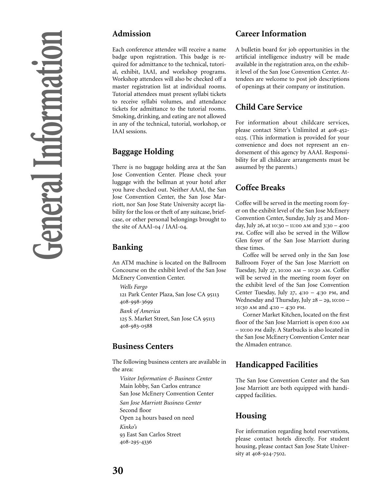# **Admission**

Each conference attendee will receive a name badge upon registration. This badge is required for admittance to the technical, tutorial, exhibit, IAAI, and workshop programs. Workshop attendees will also be checked off a master registration list at individual rooms. Tutorial attendees must present syllabi tickets to receive syllabi volumes, and attendance tickets for admittance to the tutorial rooms. Smoking, drinking, and eating are not allowed in any of the technical, tutorial, workshop, or IAAI sessions.

# **Baggage Holding**

There is no baggage holding area at the San Jose Convention Center. Please check your luggage with the bellman at your hotel after you have checked out. Neither AAAI, the San Jose Convention Center, the San Jose Marriott, nor San Jose State University accept liability for the loss or theft of any suitcase, briefcase, or other personal belongings brought to the site of AAAI-04 / IAAI-04.

# **Banking**

An ATM machine is located on the Ballroom Concourse on the exhibit level of the San Jose McEnery Convention Center.

*Wells Fargo*

121 Park Center Plaza, San Jose CA 95113 408-998-3699

*Bank of America*

125 S. Market Street, San Jose CA 95113 408-983-0588

# **Business Centers**

The following business centers are available in the area:

*Visitor Information & Business Center* Main lobby, San Carlos entrance San Jose McEnery Convention Center

*San Jose Marriott Business Center*

Second floor Open 24 hours based on need

*Kinko's*

 East San Carlos Street 408-295-4336

# **Career Information**

A bulletin board for job opportunities in the artificial intelligence industry will be made available in the registration area, on the exhibit level of the San Jose Convention Center. Attendees are welcome to post job descriptions of openings at their company or institution.

# **Child Care Service**

For information about childcare services, please contact Sitter's Unlimited at 408-452-. (This information is provided for your convenience and does not represent an endorsement of this agency by AAAI. Responsibility for all childcare arrangements must be assumed by the parents.)

# **Coffee Breaks**

Coffee will be served in the meeting room foyer on the exhibit level of the San Jose McEnery Convention Center, Sunday, July 25 and Monday, July 26, at  $10:30 - 11:00$  AM and  $3:30 - 4:00$ PM. Coffee will also be served in the Willow Glen foyer of the San Jose Marriott during these times.

Coffee will be served only in the San Jose Ballroom Foyer of the San Jose Marriott on Tuesday, July 27, 10:00  $AM - 10:30 AM$ . Coffee will be served in the meeting room foyer on the exhibit level of the San Jose Convention Center Tuesday, July  $27, 4:10 - 4:30$  PM, and Wednesday and Thursday, July  $28 - 29$ ,  $10:00 10:30$  AM and  $4:10 - 4:30$  PM.

Corner Market Kitchen, located on the first floor of the San Jose Marriott is open 6:00 AM – 10:00 PM daily. A Starbucks is also located in the San Jose McEnery Convention Center near the Almaden entrance.

# **Handicapped Facilities**

The San Jose Convention Center and the San Jose Marriott are both equipped with handicapped facilities.

# **Housing**

For information regarding hotel reservations, please contact hotels directly. For student housing, please contact San Jose State University at 408-924-7502.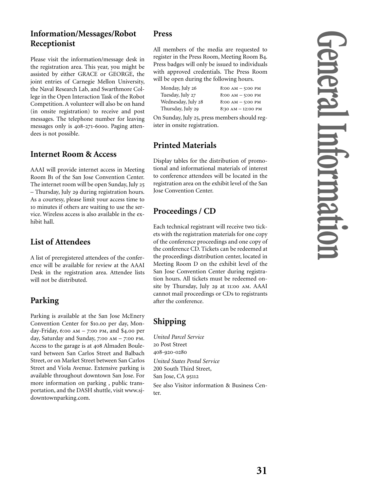# **Information/Messages/Robot Receptionist**

Please visit the information/message desk in the registration area. This year, you might be assisted by either GRACE or GEORGE, the joint entries of Carnegie Mellon University, the Naval Research Lab, and Swarthmore College in the Open Interaction Task of the Robot Competition. A volunteer will also be on hand (in onsite registration) to receive and post messages. The telephone number for leaving messages only is 408-271-6000. Paging attendees is not possible.

# **Internet Room & Access**

AAAI will provide internet access in Meeting Room B1 of the San Jose Convention Center. The internet room will be open Sunday, July 25 – Thursday, July 29 during registration hours. As a courtesy, please limit your access time to minutes if others are waiting to use the service. Wireless access is also available in the exhibit hall.

# **List of Attendees**

A list of preregistered attendees of the conference will be available for review at the AAAI Desk in the registration area. Attendee lists will not be distributed.

# **Parking**

Parking is available at the San Jose McEnery Convention Center for \$10.00 per day, Monday-Friday, 6:00 AM  $-$  7:00 PM, and \$4.00 per day, Saturday and Sunday,  $7:00$  AM  $-7:00$  PM. Access to the garage is at 408 Almaden Boulevard between San Carlos Street and Balbach Street, or on Market Street between San Carlos Street and Viola Avenue. Extensive parking is available throughout downtown San Jose. For more information on parking , public transportation, and the DASH shuttle, visit www.sjdowntownparking.com.

# **Press**

All members of the media are requested to register in the Press Room, Meeting Room B4. Press badges will only be issued to individuals with approved credentials. The Press Room will be open during the following hours.

| Monday, July 26    | $8:00 AM - 5:00 PM$  |
|--------------------|----------------------|
| Tuesday, July 27   | $8:00 AM - 5:00 PM$  |
| Wednesday, July 28 | $8:00 AM - 5:00 PM$  |
| Thursday, July 29  | $8:30 AM - 12:00 PM$ |

On Sunday, July 25, press members should register in onsite registration.

# **Printed Materials**

Display tables for the distribution of promotional and informational materials of interest to conference attendees will be located in the registration area on the exhibit level of the San Jose Convention Center.

# **Proceedings / CD**

Each technical registrant will receive two tickets with the registration materials for one copy of the conference proceedings and one copy of the conference CD. Tickets can be redeemed at the proceedings distribution center, located in Meeting Room D on the exhibit level of the San Jose Convention Center during registration hours. All tickets must be redeemed onsite by Thursday, July 29 at 11:00 AM. AAAI cannot mail proceedings or CDs to registrants after the conference.

# **Shipping**

*United Parcel Service* Post Street 408-920-0280 *United States Postal Service* 200 South Third Street, San Jose, CA 95112 See also Visitor information & Business Center.